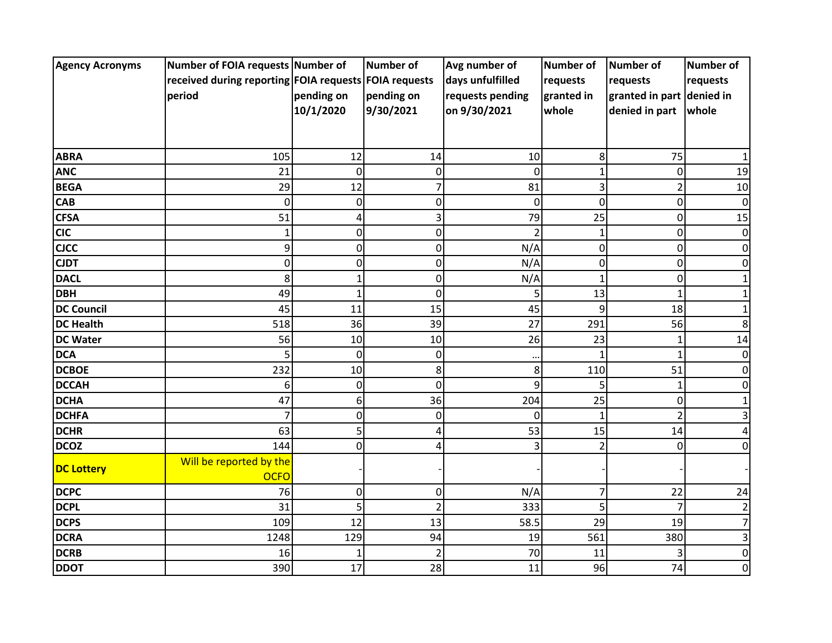| <b>Agency Acronyms</b> | Number of FOIA requests Number of                     |              | <b>Number of</b> | Avg number of    | Number of      | <b>Number of</b>          | <b>Number of</b> |
|------------------------|-------------------------------------------------------|--------------|------------------|------------------|----------------|---------------------------|------------------|
|                        | received during reporting FOIA requests FOIA requests |              |                  | days unfulfilled | requests       | requests                  | requests         |
|                        | period                                                | pending on   | pending on       | requests pending | granted in     | granted in part denied in |                  |
|                        |                                                       | 10/1/2020    | 9/30/2021        | on 9/30/2021     | whole          | denied in part            | whole            |
|                        |                                                       |              |                  |                  |                |                           |                  |
|                        |                                                       |              |                  |                  |                |                           |                  |
| <b>ABRA</b>            | 105                                                   | 12           | 14               | 10               | 8              | 75                        |                  |
| <b>ANC</b>             | 21                                                    | $\mathbf 0$  | $\pmb{0}$        | $\Omega$         | 1              | $\mathbf 0$               | 19               |
| <b>BEGA</b>            | 29                                                    | 12           | $\overline{7}$   | 81               | 3              | $\overline{2}$            | 10               |
| <b>CAB</b>             | 0                                                     | 0            | 0                | 0                | 0              | 0                         | 0                |
| <b>CFSA</b>            | 51                                                    | 4            | 3                | 79               | 25             | 0                         | 15               |
| <b>CIC</b>             | 1                                                     | 0            | 0                |                  | 1              | 0                         | 0                |
| <b>CJCC</b>            | 9                                                     | 0            | 0                | N/A              | 0              | 0                         | 0                |
| <b>CJDT</b>            | 0                                                     | 0            | 0                | N/A              | 0              | 0                         |                  |
| <b>DACL</b>            | 8                                                     | 1            | 0                | N/A              | $\mathbf{1}$   | 0                         |                  |
| <b>DBH</b>             | 49                                                    | $\mathbf{1}$ | $\mathbf 0$      |                  | 13             | 1                         |                  |
| <b>DC Council</b>      | 45                                                    | 11           | 15               | 45               | 9              | 18                        |                  |
| <b>DC Health</b>       | 518                                                   | 36           | 39               | 27               | 291            | 56                        | 8                |
| <b>DC Water</b>        | 56                                                    | 10           | 10               | 26               | 23             | 1                         | 14               |
| <b>DCA</b>             | 5                                                     | 0            | 0                |                  |                |                           | 0                |
| <b>DCBOE</b>           | 232                                                   | 10           | 8                | 8                | 110            | 51                        | 0                |
| <b>DCCAH</b>           | 6                                                     | $\mathbf 0$  | 0                | 9                | 5              | 1                         |                  |
| <b>DCHA</b>            | 47                                                    | 6            | 36               | 204              | 25             | 0                         |                  |
| <b>DCHFA</b>           | 7                                                     | 0            | 0                | $\Omega$         | 1              | $\overline{2}$            |                  |
| <b>DCHR</b>            | 63                                                    | 5            |                  | 53               | 15             | 14                        |                  |
| <b>DCOZ</b>            | 144                                                   | $\mathbf 0$  | Δ                |                  | $\overline{2}$ | $\mathbf{0}$              |                  |
|                        | Will be reported by the                               |              |                  |                  |                |                           |                  |
| <b>DC Lottery</b>      | <b>OCFO</b>                                           |              |                  |                  |                |                           |                  |
| <b>DCPC</b>            | 76                                                    | $\mathbf 0$  | $\pmb{0}$        | N/A              | 7              | 22                        | 24               |
| <b>DCPL</b>            | 31                                                    | 5            | $\overline{2}$   | 333              | 5              |                           |                  |
| <b>DCPS</b>            | 109                                                   | 12           | 13               | 58.5             | 29             | 19                        |                  |
| <b>DCRA</b>            | 1248                                                  | 129          | 94               | 19               | 561            | 380                       |                  |
| <b>DCRB</b>            | 16                                                    | 1            | $\overline{2}$   | 70               | 11             | 3                         | 0                |
| <b>DDOT</b>            | 390                                                   | 17           | 28               | 11               | 96             | 74                        | 0                |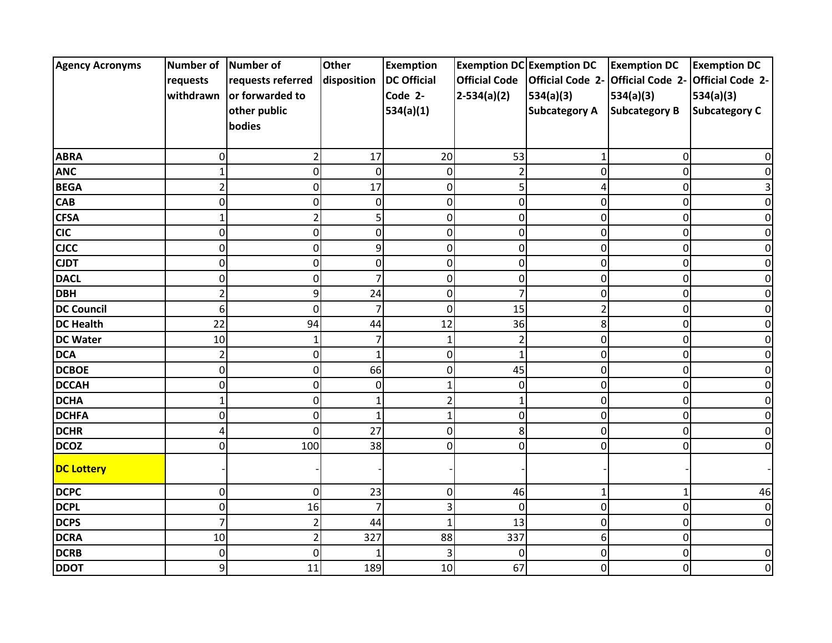| <b>Agency Acronyms</b> | Number of Number of |                   | <b>Other</b> | <b>Exemption</b>   |                      | <b>Exemption DC Exemption DC</b> | <b>Exemption DC</b>               | <b>Exemption DC</b>  |
|------------------------|---------------------|-------------------|--------------|--------------------|----------------------|----------------------------------|-----------------------------------|----------------------|
|                        | requests            | requests referred | disposition  | <b>DC Official</b> | <b>Official Code</b> | <b>Official Code 2-</b>          | Official Code 2- Official Code 2- |                      |
|                        | withdrawn           | or forwarded to   |              | Code 2-            | $2-534(a)(2)$        | 534(a)(3)                        | 534(a)(3)                         | 534(a)(3)            |
|                        |                     | other public      |              | 534(a)(1)          |                      | <b>Subcategory A</b>             | <b>Subcategory B</b>              | <b>Subcategory C</b> |
|                        |                     | bodies            |              |                    |                      |                                  |                                   |                      |
|                        |                     |                   |              |                    |                      |                                  |                                   |                      |
| <b>ABRA</b>            | 0                   | 2                 | 17           | 20                 | 53                   | 1                                | 0                                 |                      |
| <b>ANC</b>             | 1                   | 0                 | $\Omega$     | 0                  | $\overline{2}$       | 0                                | 0                                 |                      |
| <b>BEGA</b>            | $\overline{2}$      | 0                 | 17           | 0                  | 5                    |                                  | 0                                 |                      |
| <b>CAB</b>             | 0                   | 0                 | 0            | 0                  | $\pmb{0}$            | 0                                | 0                                 |                      |
| <b>CFSA</b>            | 1                   |                   |              | 0                  | $\mathbf 0$          | 0                                | 0                                 |                      |
| <b>CIC</b>             | 0                   | 0                 | $\Omega$     | 0                  | 0                    | 0                                | 0                                 |                      |
| <b>CJCC</b>            | 0                   | $\mathbf 0$       | 9            | 0                  | 0                    | 0                                | 0                                 |                      |
| <b>CJDT</b>            | $\overline{0}$      | 0                 | $\Omega$     | 0                  | $\mathbf 0$          | O                                | 0                                 |                      |
| <b>DACL</b>            | 0                   | 0                 |              | 0                  | 0                    | ი                                | 0                                 |                      |
| <b>DBH</b>             | 2                   | 9                 | 24           | 0                  | 7                    | 0                                | 0                                 |                      |
| <b>DC Council</b>      | 6                   | $\mathbf 0$       |              | 0                  | 15                   | 2                                | 0                                 |                      |
| <b>DC Health</b>       | 22                  | 94                | 44           | 12                 | 36                   | 8                                | 0                                 |                      |
| <b>DC Water</b>        | 10                  | 1                 |              | $\mathbf{1}$       | $\overline{c}$       | 0                                | 0                                 |                      |
| <b>DCA</b>             | $\overline{a}$      | 0                 | 1            | 0                  | $\mathbf{1}$         | 0                                | 0                                 |                      |
| <b>DCBOE</b>           | 0                   | 0                 | 66           | 0                  | 45                   | 0                                | 0                                 |                      |
| <b>DCCAH</b>           | 0                   | 0                 | $\Omega$     |                    | $\pmb{0}$            | 0                                | 0                                 |                      |
| <b>DCHA</b>            | 1                   | 0                 |              | $\overline{2}$     | 1                    | 0                                | 0                                 |                      |
| <b>DCHFA</b>           | 0                   | 0                 | -1           | 1                  | $\mathbf 0$          | n                                | 0                                 |                      |
| <b>DCHR</b>            | Δ                   | 0                 | 27           | 0                  | 8                    |                                  | 0                                 |                      |
| <b>DCOZ</b>            | 0                   | 100               | 38           | 0                  | 0                    | 0                                | 0                                 |                      |
| <b>DC Lottery</b>      |                     |                   |              |                    |                      |                                  |                                   |                      |
| <b>DCPC</b>            | 0                   | $\mathbf 0$       | 23           | $\overline{0}$     | 46                   | 1                                | $\mathbf{1}$                      | 46                   |
| <b>DCPL</b>            | 0                   | 16                |              | 3                  | $\mathbf 0$          | 0                                | 0                                 |                      |
| <b>DCPS</b>            | 7                   | $\overline{2}$    | 44           | $\mathbf{1}$       | 13                   | 0                                | 0                                 |                      |
| <b>DCRA</b>            | 10                  | $\overline{2}$    | 327          | 88                 | 337                  | 6                                | 0                                 |                      |
| <b>DCRB</b>            | $\mathbf 0$         | 0                 |              | 3                  | $\mathbf 0$          | 0                                | 0                                 |                      |
| <b>DDOT</b>            | 9                   | 11                | 189          | 10                 | 67                   | 0                                | 0                                 |                      |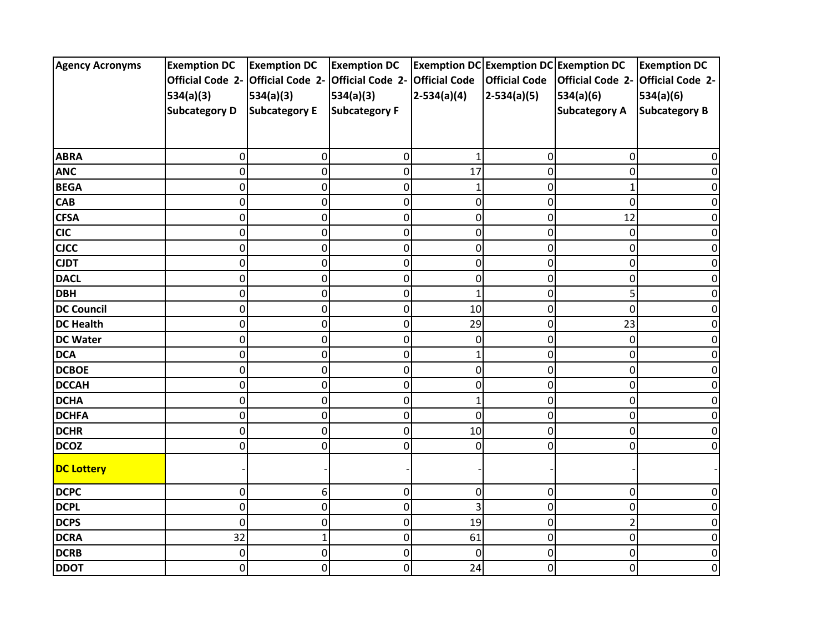| <b>Agency Acronyms</b> | <b>Exemption DC</b>               | <b>Exemption DC</b>  | <b>Exemption DC</b>     |                      | <b>Exemption DC Exemption DC Exemption DC</b> |                         | <b>Exemption DC</b>     |
|------------------------|-----------------------------------|----------------------|-------------------------|----------------------|-----------------------------------------------|-------------------------|-------------------------|
|                        | Official Code 2- Official Code 2- |                      | <b>Official Code 2-</b> | <b>Official Code</b> | <b>Official Code</b>                          | <b>Official Code 2-</b> | <b>Official Code 2-</b> |
|                        | 534(a)(3)                         | 534(a)(3)            | 534(a)(3)               | $2-534(a)(4)$        | $2-534(a)(5)$                                 | 534(a)(6)               | 534(a)(6)               |
|                        | <b>Subcategory D</b>              | <b>Subcategory E</b> | <b>Subcategory F</b>    |                      |                                               | <b>Subcategory A</b>    | <b>Subcategory B</b>    |
|                        |                                   |                      |                         |                      |                                               |                         |                         |
|                        |                                   |                      |                         |                      |                                               |                         |                         |
| <b>ABRA</b>            | 0                                 | 0                    | 0                       |                      | 0                                             | 0                       |                         |
| <b>ANC</b>             | 0                                 | $\mathbf 0$          | 0                       | 17                   | 0                                             | 0                       |                         |
| <b>BEGA</b>            | 0                                 | $\mathsf 0$          | 0                       | $\mathbf{1}$         | 0                                             |                         |                         |
| <b>CAB</b>             | 0                                 | $\pmb{0}$            | 0                       | 0                    | 0                                             | 0                       |                         |
| <b>CFSA</b>            | 0                                 | $\pmb{0}$            | 0                       | 0                    | 0                                             | 12                      |                         |
| <b>CIC</b>             | $\Omega$                          | $\pmb{0}$            | 0                       | 0                    | 0                                             | 0                       | o                       |
| <b>CJCC</b>            | 0                                 | $\mathsf 0$          | 0                       | 0                    | 0                                             | 0                       | Ω                       |
| <b>CJDT</b>            | 0                                 | $\mathbf 0$          | 0                       | 0                    | 0                                             | 0                       |                         |
| <b>DACL</b>            | 0                                 | $\pmb{0}$            | 0                       | 0                    | 0                                             | 0                       |                         |
| <b>DBH</b>             | 0                                 | $\pmb{0}$            | 0                       | 1                    | 0                                             |                         |                         |
| <b>DC Council</b>      | 0                                 | $\pmb{0}$            | 0                       | 10                   | 0                                             | 0                       |                         |
| <b>DC Health</b>       | 0                                 | $\mathsf 0$          | 0                       | 29                   | 0                                             | 23                      | n                       |
| <b>DC Water</b>        | 0                                 | $\pmb{0}$            | 0                       | 0                    | 0                                             | 0                       |                         |
| <b>DCA</b>             | 0                                 | $\mathsf 0$          | 0                       |                      | 0                                             | 0                       |                         |
| <b>DCBOE</b>           | 0                                 | $\mathsf 0$          | 0                       | 0                    | 0                                             | $\Omega$                |                         |
| <b>DCCAH</b>           | 0                                 | $\pmb{0}$            | 0                       | 0                    | 0                                             | 0                       | 0                       |
| <b>DCHA</b>            | $\Omega$                          | $\pmb{0}$            | 0                       | $\mathbf 1$          | 0                                             | 0                       | O                       |
| <b>DCHFA</b>           | 0                                 | $\pmb{0}$            | 0                       | $\overline{0}$       | 0                                             | 0                       |                         |
| <b>DCHR</b>            | 0                                 | $\pmb{0}$            | 0                       | 10                   | 0                                             | O                       |                         |
| <b>DCOZ</b>            | 0                                 | $\mathbf 0$          | 0                       | 0                    | 0                                             | 0                       | 0                       |
| <b>DC Lottery</b>      |                                   |                      |                         |                      |                                               |                         |                         |
| <b>DCPC</b>            | 0                                 | 6                    | 0                       | 0                    | 0                                             | 0                       | U                       |
| <b>DCPL</b>            | 0                                 | $\mathsf 0$          | 0                       | 3                    | 0                                             | 0                       |                         |
| <b>DCPS</b>            | 0                                 | $\pmb{0}$            | 0                       | 19                   | 0                                             |                         | 0                       |
| <b>DCRA</b>            | 32                                | $\mathbf 1$          | 0                       | 61                   | 0                                             | 0                       | 0                       |
| <b>DCRB</b>            | $\mathbf 0$                       | $\pmb{0}$            | 0                       | 0                    | 0                                             | 0                       | 0                       |
| <b>DDOT</b>            | $\mathbf 0$                       | $\mathbf 0$          | 0                       | 24                   | 0                                             | 0                       | 0                       |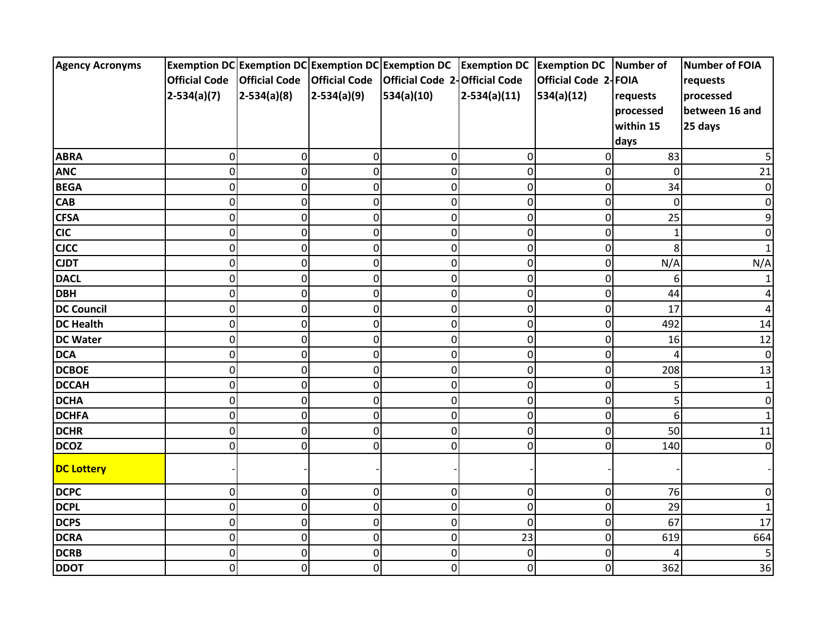| <b>Agency Acronyms</b> |                      |                      |                | Exemption DC Exemption DC Exemption DC Exemption DC Exemption DC Exemption DC Number of |                |                      |                | Number of FOIA |
|------------------------|----------------------|----------------------|----------------|-----------------------------------------------------------------------------------------|----------------|----------------------|----------------|----------------|
|                        | <b>Official Code</b> | <b>Official Code</b> |                | Official Code   Official Code 2-Official Code                                           |                | Official Code 2-FOIA |                | requests       |
|                        | $2-534(a)(7)$        | $2-534(a)(8)$        | $2-534(a)(9)$  | 534(a)(10)                                                                              | $2-534(a)(11)$ | 534(a)(12)           | requests       | processed      |
|                        |                      |                      |                |                                                                                         |                |                      | processed      | between 16 and |
|                        |                      |                      |                |                                                                                         |                |                      | within 15      | 25 days        |
|                        |                      |                      |                |                                                                                         |                |                      | days           |                |
| <b>ABRA</b>            | $\mathbf 0$          | 0                    | 0              | 0                                                                                       | 0              | 0                    | 83             |                |
| <b>ANC</b>             | $\mathbf 0$          | 0                    | 0              | $\mathbf 0$                                                                             | $\mathbf 0$    | 0                    | $\overline{0}$ | 21             |
| <b>BEGA</b>            | $\mathbf 0$          | 0                    | 0              | $\overline{0}$                                                                          | $\mathbf 0$    | $\mathbf 0$          | 34             | 0              |
| <b>CAB</b>             | $\mathbf 0$          | $\overline{0}$       | 0              | $\mathbf 0$                                                                             | $\mathbf 0$    | $\mathbf 0$          | 0              | 0              |
| <b>CFSA</b>            | $\mathbf 0$          | 0                    | 0              | 0                                                                                       | $\pmb{0}$      | 0                    | 25             | 9              |
| <b>CIC</b>             | $\mathbf 0$          | 0                    | 0              | $\mathbf 0$                                                                             | 0              | $\mathbf 0$          | $\mathbf{1}$   | O              |
| <b>CJCC</b>            | $\mathbf 0$          | 0                    | 0              | 0                                                                                       | $\mathbf 0$    | $\mathbf 0$          | 8              |                |
| <b>CJDT</b>            | $\overline{0}$       | 0                    | $\overline{0}$ | $\overline{0}$                                                                          | $\overline{0}$ | $\mathbf 0$          | N/A            | N/A            |
| <b>DACL</b>            | $\mathbf 0$          | 0                    | 0              | 0                                                                                       | 0              | $\mathbf 0$          | 6              |                |
| <b>DBH</b>             | $\mathbf 0$          | 0                    | 0              | 0                                                                                       | $\pmb{0}$      | 0                    | 44             |                |
| <b>DC Council</b>      | $\mathbf 0$          | $\overline{0}$       | 0              | 0                                                                                       | $\pmb{0}$      | $\mathbf 0$          | 17             | 4              |
| <b>DC Health</b>       | $\mathbf 0$          | 0                    | 0              | 0                                                                                       | $\mathbf 0$    | $\mathbf 0$          | 492            | 14             |
| <b>DC Water</b>        | $\mathbf 0$          | 0                    | 0              | $\overline{0}$                                                                          | $\mathbf 0$    | $\mathbf 0$          | 16             | 12             |
| <b>DCA</b>             | 0                    | 0                    | 0              | 0                                                                                       | 0              | $\mathbf 0$          |                | 0              |
| <b>DCBOE</b>           | $\mathbf 0$          | $\overline{0}$       | 0              | 0                                                                                       | $\pmb{0}$      | 0                    | 208            | 13             |
| <b>DCCAH</b>           | $\mathbf 0$          | 0                    | 0              | $\mathbf 0$                                                                             | 0              | 0                    | 5              | 1              |
| <b>DCHA</b>            | $\mathbf 0$          | 0                    | 0              | 0                                                                                       | 0              | $\mathbf 0$          | 5              | 0              |
| <b>DCHFA</b>           | $\mathbf 0$          | 0                    | $\mathbf 0$    | $\overline{0}$                                                                          | $\overline{0}$ | $\mathbf 0$          | 6              |                |
| <b>DCHR</b>            | 0                    | 0                    | 0              | 0                                                                                       | 0              | $\mathbf 0$          | 50             | 11             |
| <b>DCOZ</b>            | $\mathbf 0$          | $\overline{0}$       | 0              | 0                                                                                       | 0              | 0                    | 140            | 0              |
| <b>DC Lottery</b>      |                      |                      |                |                                                                                         |                |                      |                |                |
| <b>DCPC</b>            | $\mathbf 0$          | 0                    | 0              | 0                                                                                       | 0              | $\mathbf 0$          | 76             | 0              |
| <b>DCPL</b>            | $\mathbf 0$          | 0                    | 0              | 0                                                                                       | $\mathbf 0$    | $\mathbf 0$          | 29             |                |
| <b>DCPS</b>            | $\boldsymbol{0}$     | $\overline{0}$       | 0              | 0                                                                                       | $\pmb{0}$      | 0                    | 67             | 17             |
| <b>DCRA</b>            | $\mathbf 0$          | 0                    | $\mathbf 0$    | $\mathbf 0$                                                                             | 23             | $\mathbf 0$          | 619            | 664            |
| <b>DCRB</b>            | $\mathbf 0$          | $\overline{0}$       | 0              | 0                                                                                       | 0              | 0                    |                | 5              |
| <b>DDOT</b>            | $\mathbf 0$          | $\overline{0}$       | 0              | $\overline{0}$                                                                          | $\mathbf 0$    | $\overline{0}$       | 362            | 36             |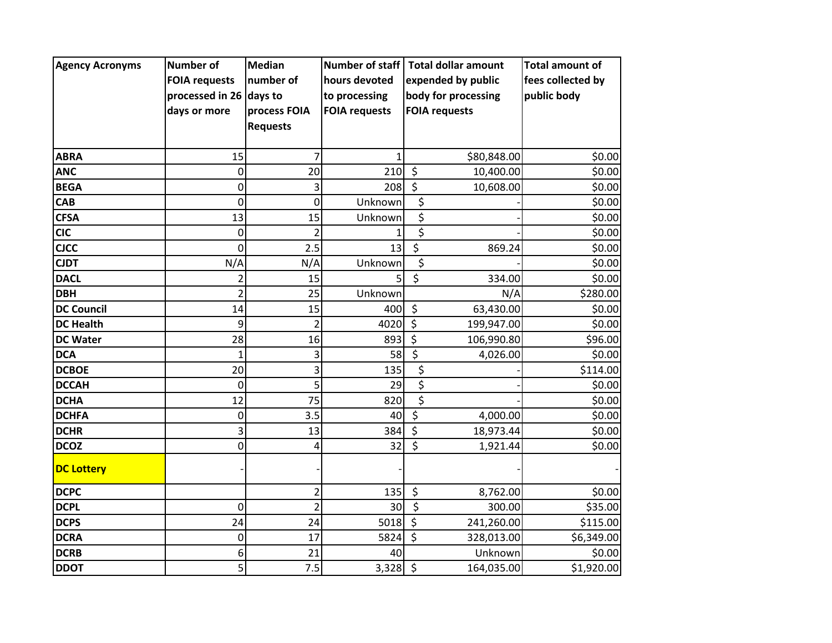| <b>Agency Acronyms</b> | <b>Number of</b>        | <b>Median</b>   | <b>Number of staff</b> | <b>Total dollar amount</b>          | <b>Total amount of</b> |
|------------------------|-------------------------|-----------------|------------------------|-------------------------------------|------------------------|
|                        | <b>FOIA requests</b>    | number of       | hours devoted          | expended by public                  | fees collected by      |
|                        | processed in 26 days to |                 | to processing          | body for processing                 | public body            |
|                        | days or more            | process FOIA    | <b>FOIA requests</b>   | <b>FOIA requests</b>                |                        |
|                        |                         | <b>Requests</b> |                        |                                     |                        |
|                        |                         |                 |                        |                                     |                        |
| <b>ABRA</b>            | 15                      | 7               | 1                      | \$80,848.00                         | \$0.00                 |
| <b>ANC</b>             | $\mathbf 0$             | 20              | 210                    | $\zeta$<br>10,400.00                | \$0.00                 |
| <b>BEGA</b>            | 0                       | 3               | 208                    | $\overline{\xi}$<br>10,608.00       | \$0.00                 |
| <b>CAB</b>             | 0                       | 0               | Unknown                | \$                                  | \$0.00                 |
| <b>CFSA</b>            | 13                      | 15              | Unknown                | \$                                  | \$0.00                 |
| <b>CIC</b>             | $\mathbf 0$             | $\overline{2}$  |                        | \$                                  | \$0.00                 |
| <b>CJCC</b>            | $\Omega$                | 2.5             | 13                     | \$<br>869.24                        | \$0.00                 |
| <b>CJDT</b>            | N/A                     | N/A             | Unknown                | \$                                  | \$0.00                 |
| <b>DACL</b>            | 2                       | 15              | 5                      | $\overline{\mathcal{S}}$<br>334.00  | \$0.00                 |
| <b>DBH</b>             | $\overline{2}$          | 25              | Unknown                | N/A                                 | \$280.00               |
| <b>DC Council</b>      | 14                      | 15              | 400                    | \$<br>63,430.00                     | \$0.00                 |
| <b>DC Health</b>       | 9                       | $\overline{2}$  | 4020                   | \$<br>199,947.00                    | \$0.00                 |
| <b>DC Water</b>        | 28                      | 16              | 893                    | $\overline{\xi}$<br>106,990.80      | \$96.00                |
| <b>DCA</b>             | $\mathbf{1}$            | 3               | 58                     | \$<br>4,026.00                      | \$0.00                 |
| <b>DCBOE</b>           | 20                      | 3               | 135                    | \$                                  | \$114.00               |
| <b>DCCAH</b>           | 0                       | 5               | 29                     | $\overline{\boldsymbol{\zeta}}$     | \$0.00                 |
| <b>DCHA</b>            | 12                      | 75              | 820                    | \$                                  | \$0.00                 |
| <b>DCHFA</b>           | $\mathbf 0$             | 3.5             | 40                     | $\overline{\xi}$<br>4,000.00        | \$0.00                 |
| <b>DCHR</b>            | 3                       | 13              | 384                    | \$<br>18,973.44                     | \$0.00                 |
| <b>DCOZ</b>            | 0                       | 4               | 32                     | $\overline{\mathsf{s}}$<br>1,921.44 | \$0.00                 |
| <b>DC Lottery</b>      |                         |                 |                        |                                     |                        |
| <b>DCPC</b>            |                         | $\overline{2}$  | 135                    | \$<br>8,762.00                      | \$0.00                 |
| <b>DCPL</b>            | 0                       | $\overline{2}$  | 30                     | $\overline{\mathcal{S}}$<br>300.00  | \$35.00                |
| <b>DCPS</b>            | 24                      | 24              | 5018                   | $\zeta$<br>241,260.00               | \$115.00               |
| <b>DCRA</b>            | 0                       | 17              | 5824                   | $\zeta$<br>328,013.00               | \$6,349.00             |
| <b>DCRB</b>            | 6                       | 21              | 40                     | Unknown                             | \$0.00                 |
| <b>DDOT</b>            | 5                       | 7.5             | 3,328                  | $\zeta$<br>164,035.00               | \$1,920.00             |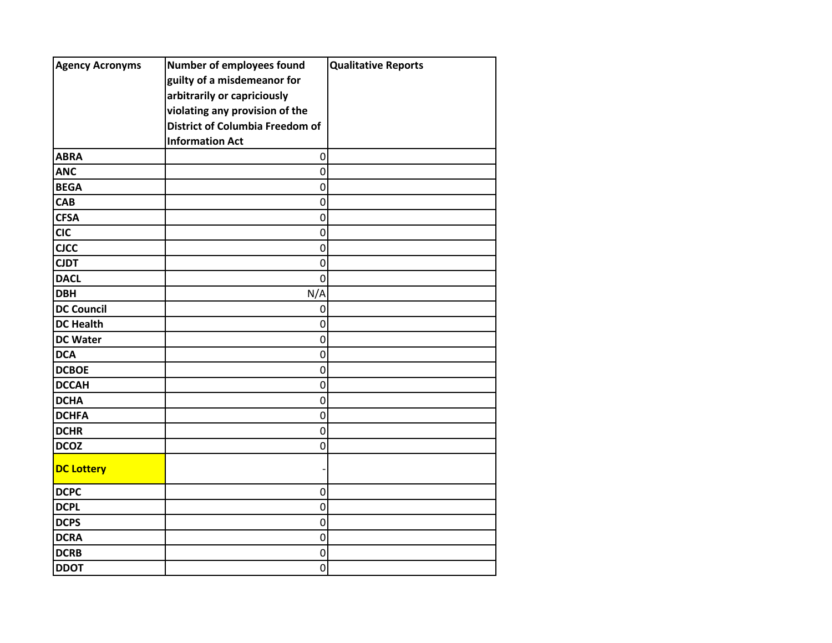| <b>Agency Acronyms</b> | Number of employees found              | <b>Qualitative Reports</b> |
|------------------------|----------------------------------------|----------------------------|
|                        | guilty of a misdemeanor for            |                            |
|                        | arbitrarily or capriciously            |                            |
|                        | violating any provision of the         |                            |
|                        | <b>District of Columbia Freedom of</b> |                            |
|                        | <b>Information Act</b>                 |                            |
| <b>ABRA</b>            | $\mathbf 0$                            |                            |
| <b>ANC</b>             | $\mathbf 0$                            |                            |
| <b>BEGA</b>            | $\mathbf 0$                            |                            |
| CAB                    | $\mathbf 0$                            |                            |
| <b>CFSA</b>            | $\mathbf 0$                            |                            |
| <b>CIC</b>             | $\mathbf 0$                            |                            |
| <b>CJCC</b>            | $\mathbf 0$                            |                            |
| <b>CJDT</b>            | $\mathbf 0$                            |                            |
| <b>DACL</b>            | $\mathbf 0$                            |                            |
| <b>DBH</b>             | N/A                                    |                            |
| <b>DC Council</b>      | $\mathbf 0$                            |                            |
| <b>DC Health</b>       | $\mathbf 0$                            |                            |
| <b>DC Water</b>        | $\mathbf 0$                            |                            |
| <b>DCA</b>             | $\mathbf 0$                            |                            |
| <b>DCBOE</b>           | $\mathbf 0$                            |                            |
| <b>DCCAH</b>           | $\mathbf 0$                            |                            |
| <b>DCHA</b>            | $\mathbf 0$                            |                            |
| <b>DCHFA</b>           | $\mathbf 0$                            |                            |
| <b>DCHR</b>            | $\mathbf 0$                            |                            |
| <b>DCOZ</b>            | $\mathbf 0$                            |                            |
| <b>DC Lottery</b>      |                                        |                            |
| <b>DCPC</b>            | 0                                      |                            |
| <b>DCPL</b>            | $\mathbf 0$                            |                            |
| <b>DCPS</b>            | $\mathbf 0$                            |                            |
| <b>DCRA</b>            | $\mathbf 0$                            |                            |
| <b>DCRB</b>            | $\mathbf 0$                            |                            |
| <b>DDOT</b>            | $\mathbf 0$                            |                            |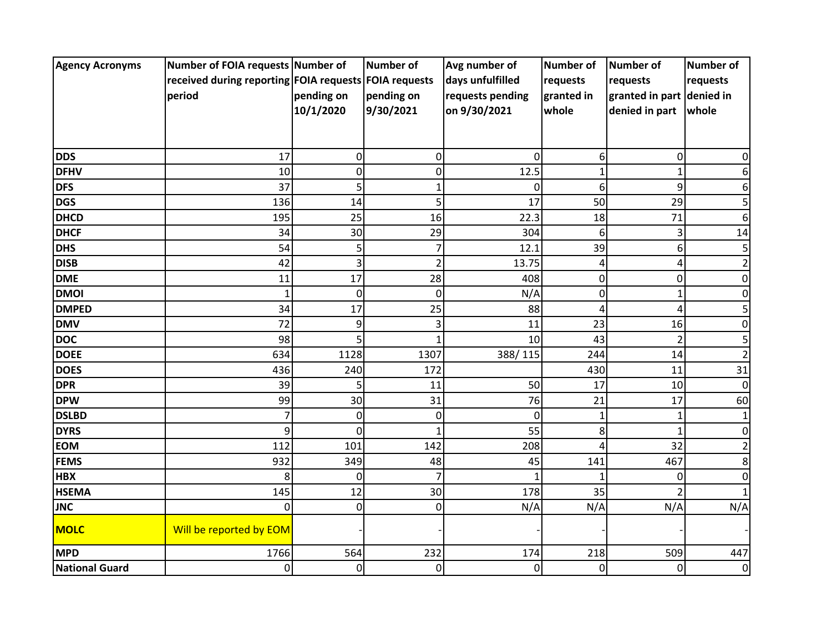| <b>Agency Acronyms</b> | Number of FOIA requests Number of                     |             | <b>Number of</b> | Avg number of    | Number of   | <b>Number of</b>          | <b>Number of</b> |
|------------------------|-------------------------------------------------------|-------------|------------------|------------------|-------------|---------------------------|------------------|
|                        | received during reporting FOIA requests FOIA requests |             |                  | days unfulfilled | requests    | requests                  | requests         |
|                        | period                                                | pending on  | pending on       | requests pending | granted in  | granted in part denied in |                  |
|                        |                                                       | 10/1/2020   | 9/30/2021        | on 9/30/2021     | whole       | denied in part            | whole            |
|                        |                                                       |             |                  |                  |             |                           |                  |
|                        |                                                       |             |                  |                  |             |                           |                  |
| <b>DDS</b>             | 17                                                    | 0           | 0                | $\Omega$         | 6           | 0                         | 0                |
| <b>DFHV</b>            | 10                                                    | $\mathbf 0$ | 0                | 12.5             | 1           | 1                         |                  |
| <b>DFS</b>             | 37                                                    | 5           | $\mathbf{1}$     | $\Omega$         | 6           | 9                         | 6                |
| <b>DGS</b>             | 136                                                   | 14          | 5                | 17               | 50          | 29                        | 5                |
| <b>DHCD</b>            | 195                                                   | 25          | 16               | 22.3             | 18          | 71                        | 6                |
| <b>DHCF</b>            | 34                                                    | 30          | 29               | 304              | 6           | 3                         | 14               |
| <b>DHS</b>             | 54                                                    | 5           | $\overline{7}$   | 12.1             | 39          | 6                         | 5                |
| <b>DISB</b>            | 42                                                    | 3           | 2                | 13.75            | 4           | 4                         |                  |
| <b>DME</b>             | 11                                                    | 17          | 28               | 408              | 0           | 0                         | 0                |
| <b>DMOI</b>            | 1                                                     | $\mathbf 0$ | $\mathbf 0$      | N/A              | $\mathbf 0$ | 1                         | 0                |
| <b>DMPED</b>           | 34                                                    | 17          | 25               | 88               | 4           | 4                         |                  |
| <b>DMV</b>             | 72                                                    | 9           | 3                | 11               | 23          | 16                        | 0                |
| <b>DOC</b>             | 98                                                    | 5           | 1                | 10               | 43          | $\overline{2}$            | 5                |
| <b>DOEE</b>            | 634                                                   | 1128        | 1307             | 388/115          | 244         | 14                        | 2                |
| <b>DOES</b>            | 436                                                   | 240         | 172              |                  | 430         | 11                        | 31               |
| <b>DPR</b>             | 39                                                    | 5           | 11               | 50               | 17          | 10                        | $\Omega$         |
| <b>DPW</b>             | 99                                                    | 30          | 31               | 76               | 21          | 17                        | 60               |
| <b>DSLBD</b>           | $\overline{7}$                                        | 0           | 0                | $\Omega$         | 1           | 1                         |                  |
| <b>DYRS</b>            | 9                                                     | 0           | 1                | 55               | 8           |                           | O                |
| <b>EOM</b>             | 112                                                   | 101         | 142              | 208              | 4           | 32                        |                  |
| <b>FEMS</b>            | 932                                                   | 349         | 48               | 45               | 141         | 467                       | 8                |
| <b>HBX</b>             | 8                                                     | 0           | $\overline{7}$   |                  |             | $\Omega$                  | 0                |
| <b>HSEMA</b>           | 145                                                   | 12          | 30               | 178              | 35          |                           |                  |
| <b>JNC</b>             | 0                                                     | 0           | 0                | N/A              | N/A         | N/A                       | N/A              |
| <b>MOLC</b>            | Will be reported by EOM                               |             |                  |                  |             |                           |                  |
| <b>MPD</b>             | 1766                                                  | 564         | 232              | 174              | 218         | 509                       | 447              |
| National Guard         | 0                                                     | 0           | 0                | $\mathbf 0$      | 0           | 0                         | 0                |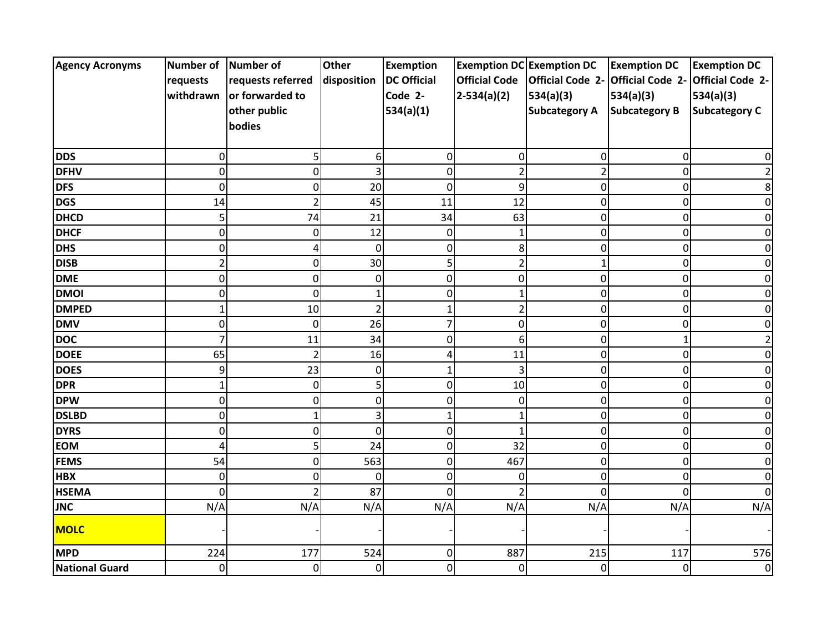| <b>Agency Acronyms</b> | Number of      | Number of         | <b>Other</b>   | <b>Exemption</b>   |                      | <b>Exemption DC Exemption DC</b> | <b>Exemption DC</b>     | <b>Exemption DC</b>     |
|------------------------|----------------|-------------------|----------------|--------------------|----------------------|----------------------------------|-------------------------|-------------------------|
|                        | requests       | requests referred | disposition    | <b>DC Official</b> | <b>Official Code</b> | <b>Official Code 2-</b>          | <b>Official Code 2-</b> | <b>Official Code 2-</b> |
|                        | withdrawn      | or forwarded to   |                | Code 2-            | $2-534(a)(2)$        | 534(a)(3)                        | 534(a)(3)               | 534(a)(3)               |
|                        |                | other public      |                | 534(a)(1)          |                      | <b>Subcategory A</b>             | <b>Subcategory B</b>    | <b>Subcategory C</b>    |
|                        |                | bodies            |                |                    |                      |                                  |                         |                         |
|                        |                |                   |                |                    |                      |                                  |                         |                         |
| <b>DDS</b>             | 0              | 5 <sup>1</sup>    | 6              | 0                  | 0                    | 0                                | 0                       |                         |
| <b>DFHV</b>            | 0              | $\overline{0}$    | з              | $\overline{0}$     | $\overline{a}$       | $\overline{2}$                   | $\mathbf 0$             |                         |
| <b>DFS</b>             | 0              | $\overline{0}$    | 20             | $\overline{0}$     | 9                    | 0                                | 0                       |                         |
| <b>DGS</b>             | 14             | $\overline{2}$    | 45             | 11                 | 12                   | 0                                | $\mathbf 0$             |                         |
| <b>DHCD</b>            | 5              | 74                | 21             | 34                 | 63                   | 0                                | $\pmb{0}$               |                         |
| <b>DHCF</b>            | 0              | $\overline{0}$    | 12             | 0                  | $\mathbf{1}$         | 0                                | 0                       |                         |
| <b>DHS</b>             | 0              | $\overline{4}$    | 0              | 0                  | 8                    | 0                                | 0                       |                         |
| <b>DISB</b>            | $\overline{2}$ | $\overline{0}$    | 30             | 5                  | $\overline{2}$       |                                  | 0                       |                         |
| <b>DME</b>             | 0              | $\overline{0}$    | 0              | 0                  | 0                    | 0                                | 0                       |                         |
| <b>DMOI</b>            | 0              | $\overline{0}$    |                | 0                  | $\mathbf 1$          | 0                                | 0                       |                         |
| <b>DMPED</b>           | 1              | 10                | $\overline{2}$ |                    | $\overline{2}$       | 0                                | $\mathbf 0$             |                         |
| <b>DMV</b>             | 0              | $\pmb{0}$         | 26             | 7                  | 0                    | 0                                | 0                       |                         |
| <b>DOC</b>             | 7              | 11                | 34             | $\overline{0}$     | 6                    | 0                                | $\mathbf{1}$            |                         |
| <b>DOEE</b>            | 65             | $\overline{2}$    | 16             |                    | 11                   | 0                                | $\mathbf 0$             |                         |
| <b>DOES</b>            | 9              | 23                | 0              |                    | 3                    | 0                                | 0                       |                         |
| <b>DPR</b>             | 1              | $\overline{0}$    | 5              | 0                  | 10                   | 0                                | $\mathbf 0$             |                         |
| <b>DPW</b>             | 0              | $\overline{0}$    | 0              | 0                  | 0                    | 0                                | 0                       |                         |
| <b>DSLBD</b>           | $\Omega$       | 1                 |                |                    | $\mathbf{1}$         | 0                                | 0                       |                         |
| <b>DYRS</b>            | 0              | 0                 | 0              | 0                  | $\mathbf{1}$         | 0                                | 0                       |                         |
| <b>EOM</b>             | 4              | 5 <sup>1</sup>    | 24             | 0                  | 32                   | 0                                | 0                       |                         |
| <b>FEMS</b>            | 54             | $\overline{0}$    | 563            | 0                  | 467                  | 0                                | $\mathbf 0$             |                         |
| <b>HBX</b>             | 0              | $\overline{0}$    | 0              | 0                  | 0                    | 0                                | $\mathbf 0$             | 0                       |
| <b>HSEMA</b>           | $\Omega$       |                   | 87             | $\Omega$           | $\overline{2}$       | $\Omega$                         | 0                       | ŋ                       |
| <b>JNC</b>             | N/A            | N/A               | N/A            | N/A                | N/A                  | N/A                              | N/A                     | N/A                     |
| <b>MOLC</b>            |                |                   |                |                    |                      |                                  |                         |                         |
| <b>MPD</b>             | 224            | 177               | 524            | 0                  | 887                  | 215                              | 117                     | 576                     |
| <b>National Guard</b>  | $\overline{0}$ | $\overline{0}$    | $\mathbf 0$    | $\mathbf 0$        | 0                    | $\mathbf 0$                      | 0                       | $\overline{0}$          |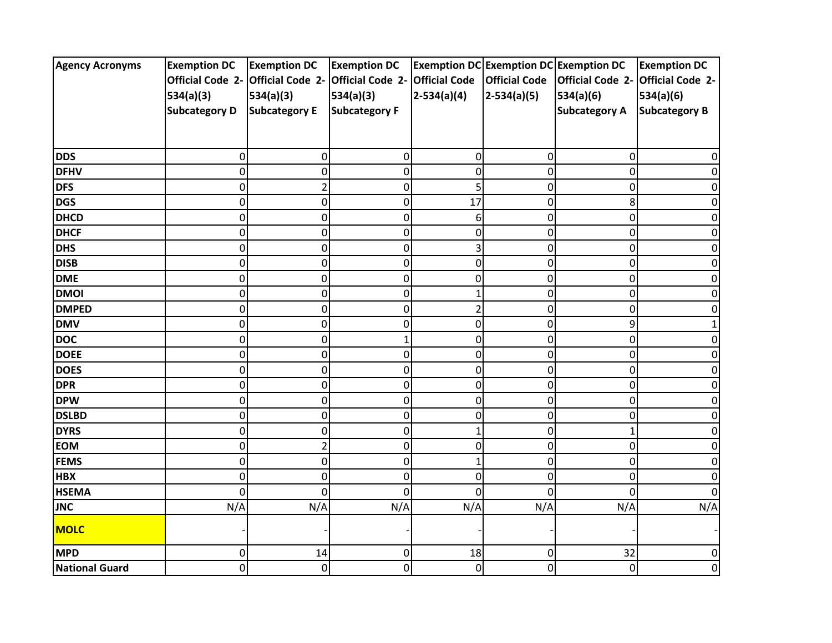| <b>Agency Acronyms</b> | <b>Exemption DC</b>               | <b>Exemption DC</b>  | <b>Exemption DC</b>     |                      | Exemption DC Exemption DC Exemption DC |                         | <b>Exemption DC</b>     |
|------------------------|-----------------------------------|----------------------|-------------------------|----------------------|----------------------------------------|-------------------------|-------------------------|
|                        | Official Code 2- Official Code 2- |                      | <b>Official Code 2-</b> | <b>Official Code</b> | <b>Official Code</b>                   | <b>Official Code 2-</b> | <b>Official Code 2-</b> |
|                        | 534(a)(3)                         | 534(a)(3)            | 534(a)(3)               | $2-534(a)(4)$        | $2-534(a)(5)$                          | 534(a)(6)               | 534(a)(6)               |
|                        | <b>Subcategory D</b>              | <b>Subcategory E</b> | <b>Subcategory F</b>    |                      |                                        | <b>Subcategory A</b>    | <b>Subcategory B</b>    |
|                        |                                   |                      |                         |                      |                                        |                         |                         |
|                        |                                   |                      |                         |                      |                                        |                         |                         |
| <b>DDS</b>             | 0                                 | 0                    | 0                       | 0                    | 0                                      | 0                       |                         |
| <b>DFHV</b>            | 0                                 | $\mathbf 0$          | 0                       | 0                    | 0                                      | 0                       |                         |
| <b>DFS</b>             | 0                                 | $\overline{2}$       | 0                       | 5                    | 0                                      | 0                       |                         |
| <b>DGS</b>             | 0                                 | $\mathsf 0$          | 0                       | 17                   | 0                                      | 8                       |                         |
| <b>DHCD</b>            | 0                                 | $\pmb{0}$            | 0                       | 6                    | 0                                      | 0                       |                         |
| <b>DHCF</b>            | 0                                 | $\pmb{0}$            | 0                       | 0                    | 0                                      | 0                       | 0                       |
| <b>DHS</b>             | 0                                 | $\pmb{0}$            | 0                       | 3                    | 0                                      | 0                       | 0                       |
| <b>DISB</b>            | 0                                 | $\mathbf 0$          | 0                       | $\overline{0}$       | 0                                      | O                       |                         |
| <b>DME</b>             | 0                                 | $\pmb{0}$            | 0                       | 0                    | 0                                      | 0                       |                         |
| <b>DMOI</b>            | 0                                 | $\pmb{0}$            | 0                       | 1                    | 0                                      | 0                       |                         |
| <b>DMPED</b>           | 0                                 | $\mathsf 0$          | 0                       | $\overline{2}$       | 0                                      | 0                       | O                       |
| <b>DMV</b>             | 0                                 | $\mathbf 0$          | 0                       | 0                    | 0                                      | 9                       |                         |
| <b>DOC</b>             | 0                                 | $\pmb{0}$            | $\mathbf{1}$            | $\mathbf 0$          | 0                                      | 0                       |                         |
| <b>DOEE</b>            | 0                                 | $\pmb{0}$            | 0                       | 0                    | 0                                      | 0                       |                         |
| <b>DOES</b>            | 0                                 | $\pmb{0}$            | 0                       | 0                    | 0                                      | 0                       |                         |
| <b>DPR</b>             | 0                                 | $\mathsf 0$          | 0                       | 0                    | 0                                      | 0                       | 0                       |
| <b>DPW</b>             | 0                                 | $\pmb{0}$            | 0                       | 0                    | 0                                      | 0                       | 0                       |
| <b>DSLBD</b>           | 0                                 | $\mathbf 0$          | 0                       | 0                    | 0                                      | 0                       |                         |
| <b>DYRS</b>            | 0                                 | $\pmb{0}$            | 0                       |                      | 0                                      |                         |                         |
| <b>EOM</b>             | 0                                 | $\mathbf 2$          | 0                       | 0                    | 0                                      | 0                       |                         |
| <b>FEMS</b>            | 0                                 | $\mathsf 0$          | 0                       | $\mathbf 1$          | 0                                      | 0                       | 0                       |
| <b>HBX</b>             | 0                                 | $\pmb{0}$            | 0                       | 0                    | 0                                      | 0                       | 0                       |
| <b>HSEMA</b>           | $\overline{0}$                    | $\overline{0}$       | 0                       | $\Omega$             | $\Omega$                               | ŋ                       | $\Omega$                |
| <b>JNC</b>             | N/A                               | N/A                  | N/A                     | N/A                  | N/A                                    | N/A                     | N/A                     |
| <b>MOLC</b>            |                                   |                      |                         |                      |                                        |                         |                         |
| <b>MPD</b>             | 0                                 | 14                   | 0                       | 18                   | 0                                      | 32                      | $\Omega$                |
| National Guard         | $\overline{0}$                    | $\mathbf 0$          | 0                       | 0                    | 0                                      | 0                       | 0                       |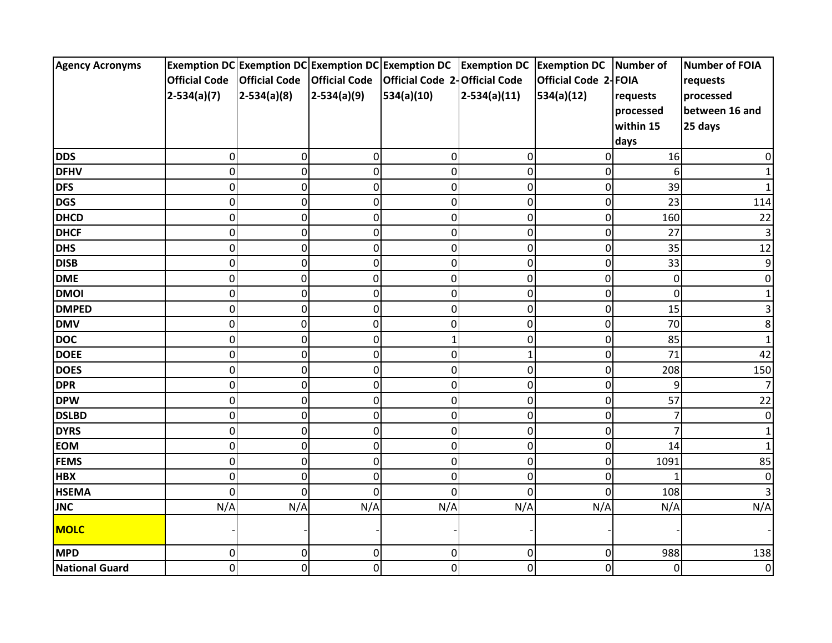| <b>Agency Acronyms</b> |                      |                      |                | Exemption DC Exemption DC Exemption DC Exemption DC Exemption DC Exemption DC Number of |                |                      |                | Number of FOIA |
|------------------------|----------------------|----------------------|----------------|-----------------------------------------------------------------------------------------|----------------|----------------------|----------------|----------------|
|                        | <b>Official Code</b> | <b>Official Code</b> |                | Official Code   Official Code 2-Official Code                                           |                | Official Code 2-FOIA |                | requests       |
|                        | $2-534(a)(7)$        | $2-534(a)(8)$        | $2-534(a)(9)$  | 534(a)(10)                                                                              | $2-534(a)(11)$ | 534(a)(12)           | requests       | processed      |
|                        |                      |                      |                |                                                                                         |                |                      | processed      | between 16 and |
|                        |                      |                      |                |                                                                                         |                |                      | within 15      | 25 days        |
|                        |                      |                      |                |                                                                                         |                |                      | days           |                |
| <b>DDS</b>             | $\mathbf 0$          | 0                    | 0              | 0                                                                                       | 0              | 0                    | 16             | O              |
| <b>DFHV</b>            | $\mathbf 0$          | 0                    | 0              | $\mathbf 0$                                                                             | $\mathbf 0$    | 0                    | 6              |                |
| <b>DFS</b>             | $\mathbf 0$          | 0                    | 0              | $\overline{0}$                                                                          | $\mathbf 0$    | $\mathbf 0$          | 39             |                |
| <b>DGS</b>             | $\mathbf 0$          | $\overline{0}$       | 0              | $\mathbf 0$                                                                             | $\mathbf 0$    | $\mathbf 0$          | 23             | 114            |
| <b>DHCD</b>            | $\mathbf 0$          | 0                    | 0              | 0                                                                                       | $\pmb{0}$      | $\mathbf 0$          | 160            | 22             |
| <b>DHCF</b>            | $\mathbf 0$          | 0                    | 0              | $\mathbf 0$                                                                             | 0              | $\mathbf 0$          | 27             | 3              |
| <b>DHS</b>             | $\mathbf 0$          | 0                    | 0              | 0                                                                                       | $\mathbf 0$    | $\mathbf 0$          | 35             | 12             |
| <b>DISB</b>            | $\overline{0}$       | 0                    | $\mathbf 0$    | $\overline{0}$                                                                          | $\overline{0}$ | $\mathbf 0$          | 33             | 9              |
| <b>DME</b>             | $\mathbf 0$          | 0                    | 0              | 0                                                                                       | $\mathbf 0$    | 0                    | $\mathbf 0$    | 0              |
| <b>DMOI</b>            | $\mathbf 0$          | 0                    | 0              | 0                                                                                       | $\pmb{0}$      | 0                    | 0              |                |
| <b>DMPED</b>           | $\mathbf 0$          | 0                    | 0              | 0                                                                                       | $\pmb{0}$      | $\mathbf 0$          | 15             | 3              |
| <b>DMV</b>             | $\mathbf 0$          | 0                    | 0              | 0                                                                                       | 0              | $\boldsymbol{0}$     | 70             | 8              |
| <b>DOC</b>             | $\mathbf 0$          | 0                    | 0              | 1                                                                                       | $\overline{0}$ | $\mathbf 0$          | 85             | 1              |
| <b>DOEE</b>            | 0                    | 0                    | 0              | 0                                                                                       | 1              | $\mathbf 0$          | 71             | 42             |
| <b>DOES</b>            | $\mathbf 0$          | 0                    | 0              | 0                                                                                       | $\pmb{0}$      | 0                    | 208            | 150            |
| <b>DPR</b>             | $\mathbf 0$          | 0                    | 0              | $\mathbf 0$                                                                             | 0              | $\mathbf 0$          | 9              | 7              |
| <b>DPW</b>             | 0                    | 0                    | 0              | 0                                                                                       | 0              | $\mathbf 0$          | 57             | 22             |
| <b>DSLBD</b>           | $\mathbf 0$          | 0                    | $\mathbf 0$    | 0                                                                                       | $\overline{0}$ | $\mathbf 0$          | 7              | Οl             |
| <b>DYRS</b>            | 0                    | 0                    | 0              | 0                                                                                       | 0              | $\mathbf 0$          | 7              |                |
| <b>EOM</b>             | $\mathbf 0$          | $\overline{0}$       | 0              | 0                                                                                       | $\pmb{0}$      | $\mathbf 0$          | 14             |                |
| <b>FEMS</b>            | $\mathbf 0$          | 0                    | $\mathbf 0$    | 0                                                                                       | $\mathbf 0$    | $\mathbf 0$          | 1091           | 85             |
| <b>HBX</b>             | $\mathbf 0$          | 0                    | 0              | 0                                                                                       | $\mathbf 0$    | 0                    |                | 0              |
| <b>HSEMA</b>           | $\Omega$             | $\Omega$             | $\overline{0}$ | $\overline{0}$                                                                          | $\overline{0}$ | $\overline{0}$       | 108            | 3              |
| <b>JNC</b>             | N/A                  | N/A                  | N/A            | N/A                                                                                     | N/A            | N/A                  | N/A            | N/A            |
| <b>MOLC</b>            |                      |                      |                |                                                                                         |                |                      |                |                |
| <b>MPD</b>             | $\mathbf 0$          | $\overline{0}$       | 0              | 0                                                                                       | 0              | 0                    | 988            | 138            |
| <b>National Guard</b>  | $\mathbf 0$          | 0                    | 0              | $\overline{0}$                                                                          | $\overline{0}$ | 0                    | $\overline{0}$ | $\overline{0}$ |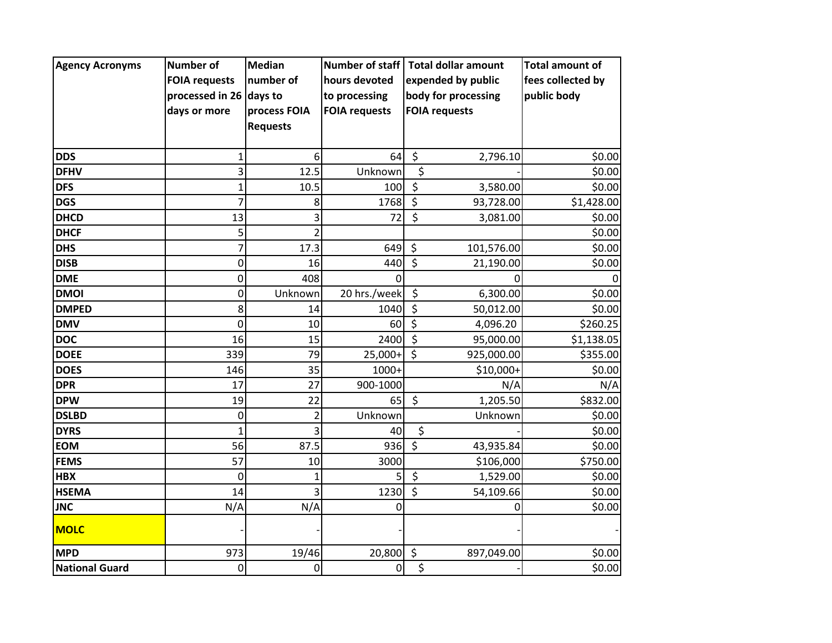| <b>Agency Acronyms</b> | <b>Number of</b>        | <b>Median</b>   | <b>Number of staff</b> | <b>Total dollar amount</b> |                      | <b>Total amount of</b> |
|------------------------|-------------------------|-----------------|------------------------|----------------------------|----------------------|------------------------|
|                        | <b>FOIA requests</b>    | number of       | hours devoted          |                            | expended by public   | fees collected by      |
|                        | processed in 26 days to |                 | to processing          |                            | body for processing  | public body            |
|                        | days or more            | process FOIA    | <b>FOIA requests</b>   |                            | <b>FOIA requests</b> |                        |
|                        |                         | <b>Requests</b> |                        |                            |                      |                        |
|                        |                         |                 |                        |                            |                      |                        |
| <b>DDS</b>             | 1                       | 6               | 64                     | \$                         | 2,796.10             | \$0.00                 |
| <b>DFHV</b>            | 3                       | 12.5            | Unknown                | \$                         |                      | \$0.00                 |
| <b>DFS</b>             | $\mathbf{1}$            | 10.5            | 100                    | $\overline{\mathcal{S}}$   | 3,580.00             | \$0.00                 |
| <b>DGS</b>             | 7                       | 8               | 1768                   | $\zeta$                    | 93,728.00            | \$1,428.00             |
| <b>DHCD</b>            | 13                      | 3               | 72                     | \$                         | 3,081.00             | \$0.00                 |
| <b>DHCF</b>            | 5                       | $\mathfrak{p}$  |                        |                            |                      | \$0.00                 |
| <b>DHS</b>             | 7                       | 17.3            | 649                    | \$                         | 101,576.00           | \$0.00                 |
| <b>DISB</b>            | $\mathbf 0$             | 16              | 440                    | $\overline{\xi}$           | 21,190.00            | \$0.00                 |
| <b>DME</b>             | 0                       | 408             | O                      |                            | 0                    | $\mathbf 0$            |
| <b>DMOI</b>            | 0                       | Unknown         | 20 hrs./week           | \$                         | 6,300.00             | \$0.00                 |
| <b>DMPED</b>           | 8                       | 14              | 1040                   | $\zeta$                    | 50,012.00            | \$0.00                 |
| <b>DMV</b>             | $\mathbf 0$             | 10              | 60                     | $\zeta$                    | 4,096.20             | \$260.25               |
| <b>DOC</b>             | 16                      | 15              | 2400                   | $\overline{\mathcal{S}}$   | 95,000.00            | \$1,138.05             |
| <b>DOEE</b>            | 339                     | 79              | 25,000+                | $\zeta$                    | 925,000.00           | \$355.00               |
| <b>DOES</b>            | 146                     | 35              | 1000+                  |                            | \$10,000+            | \$0.00                 |
| <b>DPR</b>             | 17                      | 27              | 900-1000               |                            | N/A                  | N/A                    |
| <b>DPW</b>             | 19                      | 22              | 65                     | \$                         | 1,205.50             | \$832.00               |
| <b>DSLBD</b>           | $\mathbf 0$             | $\overline{2}$  | Unknown                |                            | Unknown              | \$0.00                 |
| <b>DYRS</b>            | 1                       |                 | 40                     | $\overline{\xi}$           |                      | \$0.00                 |
| <b>EOM</b>             | 56                      | 87.5            | 936                    | $\zeta$                    | 43,935.84            | \$0.00                 |
| <b>FEMS</b>            | 57                      | 10              | 3000                   |                            | \$106,000            | \$750.00               |
| <b>HBX</b>             | 0                       | $\mathbf{1}$    |                        | \$                         | 1,529.00             | \$0.00                 |
| <b>HSEMA</b>           | 14                      |                 | 1230                   | $\overline{\mathsf{S}}$    | 54,109.66            | \$0.00                 |
| <b>JNC</b>             | N/A                     | N/A             | 0                      |                            |                      | \$0.00                 |
| <b>MOLC</b>            |                         |                 |                        |                            |                      |                        |
| <b>MPD</b>             | 973                     | 19/46           | 20,800                 | $\zeta$                    | 897,049.00           | \$0.00                 |
| <b>National Guard</b>  | $\pmb{0}$               | 0               | 0                      | $\overline{\varsigma}$     |                      | \$0.00                 |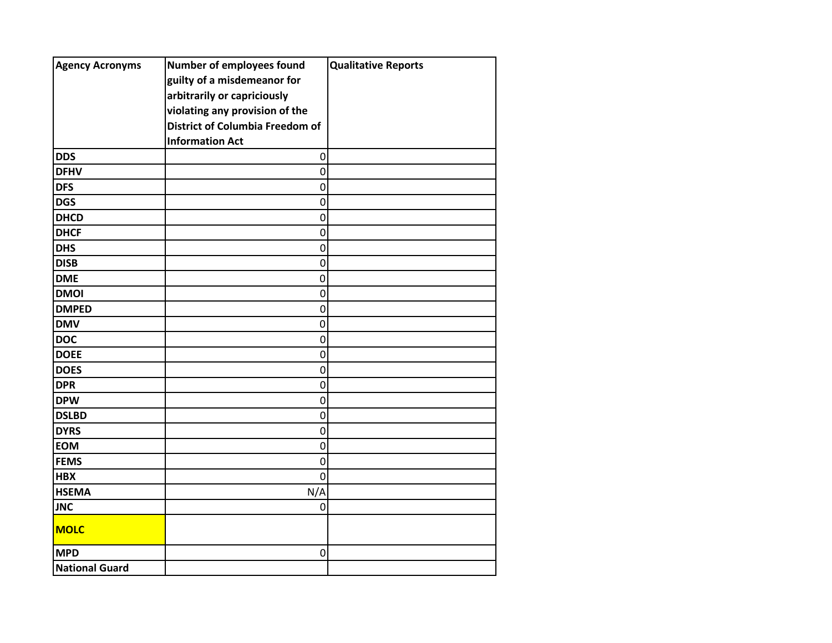| <b>Agency Acronyms</b> | Number of employees found              | <b>Qualitative Reports</b> |
|------------------------|----------------------------------------|----------------------------|
|                        | guilty of a misdemeanor for            |                            |
|                        | arbitrarily or capriciously            |                            |
|                        | violating any provision of the         |                            |
|                        | <b>District of Columbia Freedom of</b> |                            |
|                        | <b>Information Act</b>                 |                            |
| <b>DDS</b>             | 0                                      |                            |
| <b>DFHV</b>            | $\mathbf 0$                            |                            |
| <b>DFS</b>             | 0                                      |                            |
| <b>DGS</b>             | $\mathbf 0$                            |                            |
| <b>DHCD</b>            | 0                                      |                            |
| <b>DHCF</b>            | 0                                      |                            |
| <b>DHS</b>             | $\mathbf 0$                            |                            |
| <b>DISB</b>            | $\mathbf 0$                            |                            |
| <b>DME</b>             | 0                                      |                            |
| <b>DMOI</b>            | $\pmb{0}$                              |                            |
| <b>DMPED</b>           | $\mathbf 0$                            |                            |
| <b>DMV</b>             | 0                                      |                            |
| <b>DOC</b>             | $\mathbf 0$                            |                            |
| <b>DOEE</b>            | 0                                      |                            |
| <b>DOES</b>            | 0                                      |                            |
| <b>DPR</b>             | $\mathbf 0$                            |                            |
| <b>DPW</b>             | 0                                      |                            |
| <b>DSLBD</b>           | $\mathbf 0$                            |                            |
| <b>DYRS</b>            | $\mathbf 0$                            |                            |
| <b>EOM</b>             | 0                                      |                            |
| <b>FEMS</b>            | $\pmb{0}$                              |                            |
| <b>HBX</b>             | $\mathbf 0$                            |                            |
| <b>HSEMA</b>           | N/A                                    |                            |
| <b>JNC</b>             | 0                                      |                            |
| <b>MOLC</b>            |                                        |                            |
| <b>MPD</b>             | $\pmb{0}$                              |                            |
| <b>National Guard</b>  |                                        |                            |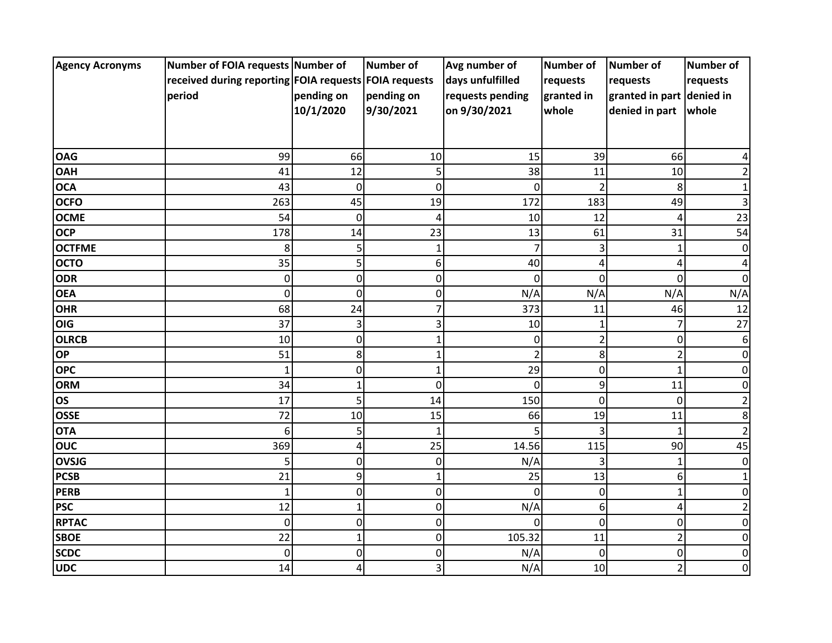| <b>Agency Acronyms</b> | Number of FOIA requests Number of                     |              | Number of      | Avg number of    | <b>Number of</b>         | <b>Number of</b>          | <b>Number of</b> |
|------------------------|-------------------------------------------------------|--------------|----------------|------------------|--------------------------|---------------------------|------------------|
|                        | received during reporting FOIA requests FOIA requests |              |                | days unfulfilled | requests                 | requests                  | requests         |
|                        | period                                                | pending on   | pending on     | requests pending | granted in               | granted in part denied in |                  |
|                        |                                                       | 10/1/2020    | 9/30/2021      | on 9/30/2021     | whole                    | denied in part            | whole            |
|                        |                                                       |              |                |                  |                          |                           |                  |
|                        |                                                       |              |                |                  |                          |                           |                  |
| <b>OAG</b>             | 99                                                    | 66           | 10             | 15               | 39                       | 66                        |                  |
| <b>OAH</b>             | 41                                                    | 12           | 5              | 38               | 11                       | 10                        |                  |
| <b>OCA</b>             | 43                                                    | $\mathbf 0$  | $\overline{0}$ | $\Omega$         | $\mathcal{P}$            | 8                         |                  |
| <b>OCFO</b>            | 263                                                   | 45           | 19             | 172              | 183                      | 49                        | 3                |
| <b>OCME</b>            | 54                                                    | $\mathbf 0$  | 4              | 10               | 12                       | 4                         | 23               |
| <b>OCP</b>             | 178                                                   | 14           | 23             | 13               | 61                       | 31                        | 54               |
| <b>OCTFME</b>          | 8                                                     | 5            | 1              |                  |                          | 1                         | 0                |
| <b>OCTO</b>            | 35                                                    | 5            | 6              | 40               | 4                        | 4                         |                  |
| <b>ODR</b>             | 0                                                     | $\mathbf 0$  | $\mathbf 0$    | $\Omega$         | $\Omega$                 | 0                         | 0                |
| <b>OEA</b>             | 0                                                     | $\mathbf 0$  | $\mathbf 0$    | N/A              | N/A                      | N/A                       | N/A              |
| <b>OHR</b>             | 68                                                    | 24           | 7              | 373              | 11                       | 46                        | 12               |
| <b>OIG</b>             | 37                                                    | 3            | 3              | 10               |                          | 7                         | 27               |
| <b>OLRCB</b>           | 10                                                    | $\mathbf 0$  | 1              | 0                | $\overline{\phantom{a}}$ | 0                         | 6                |
| <b>OP</b>              | 51                                                    | 8            | $\mathbf{1}$   | $\overline{2}$   | 8                        | $\overline{2}$            | 0                |
| <b>OPC</b>             | 1                                                     | $\pmb{0}$    | $\mathbf{1}$   | 29               | $\mathbf 0$              | $\mathbf{1}$              | 0                |
| <b>ORM</b>             | 34                                                    | $\mathbf{1}$ | $\mathbf 0$    | $\Omega$         | 9                        | 11                        | 0                |
| <b>OS</b>              | 17                                                    | 5            | 14             | 150              | $\mathbf 0$              | $\mathbf 0$               |                  |
| <b>OSSE</b>            | 72                                                    | 10           | 15             | 66               | 19                       | 11                        | 8                |
| <b>OTA</b>             | 6                                                     | 5            | $\mathbf{1}$   |                  | З                        |                           |                  |
| <b>OUC</b>             | 369                                                   | 4            | 25             | 14.56            | 115                      | 90                        | 45               |
| <b>OVSJG</b>           | 5                                                     | 0            | 0              | N/A              | 3                        | 1                         | 0                |
| <b>PCSB</b>            | 21                                                    | 9            | $\mathbf{1}$   | 25               | 13                       | 6                         |                  |
| <b>PERB</b>            | 1                                                     | $\mathbf 0$  | $\mathbf 0$    | $\Omega$         | 0                        | $\mathbf{1}$              |                  |
| <b>PSC</b>             | 12                                                    | $\mathbf{1}$ | $\overline{0}$ | N/A              | 6                        | 4                         |                  |
| <b>RPTAC</b>           | 0                                                     | $\mathbf 0$  | $\mathbf 0$    | $\Omega$         | 0                        | 0                         | 0                |
| <b>SBOE</b>            | 22                                                    | 1            | 0              | 105.32           | 11                       | 2                         | O                |
| <b>SCDC</b>            | $\overline{0}$                                        | $\mathbf 0$  | 0              | N/A              | 0                        | 0                         | 0                |
| <b>UDC</b>             | 14                                                    | 4            | 3              | N/A              | 10                       | 2                         | 0                |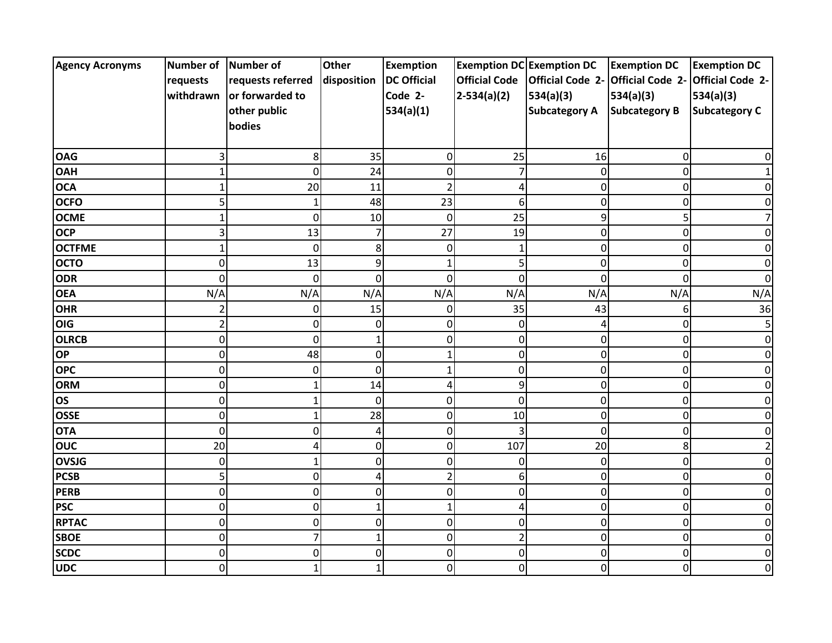| <b>Agency Acronyms</b> | Number of Number of |                   | <b>Other</b>   | <b>Exemption</b>   |                      | <b>Exemption DC Exemption DC</b> | <b>Exemption DC</b>               | <b>Exemption DC</b>  |
|------------------------|---------------------|-------------------|----------------|--------------------|----------------------|----------------------------------|-----------------------------------|----------------------|
|                        | requests            | requests referred | disposition    | <b>DC Official</b> | <b>Official Code</b> | <b>Official Code 2-</b>          | Official Code 2- Official Code 2- |                      |
|                        | withdrawn           | or forwarded to   |                | Code 2-            | $2-534(a)(2)$        | 534(a)(3)                        | 534(a)(3)                         | 534(a)(3)            |
|                        |                     | other public      |                | 534(a)(1)          |                      | <b>Subcategory A</b>             | <b>Subcategory B</b>              | <b>Subcategory C</b> |
|                        |                     | bodies            |                |                    |                      |                                  |                                   |                      |
|                        |                     |                   |                |                    |                      |                                  |                                   |                      |
| <b>OAG</b>             | 3                   | 8                 | 35             | 0                  | 25                   | 16                               | 0                                 |                      |
| <b>OAH</b>             | 1                   | $\mathbf 0$       | 24             | $\overline{0}$     | $\overline{7}$       | 0                                | 0                                 |                      |
| <b>OCA</b>             | 1                   | 20                | 11             | $\overline{2}$     | 4                    | 0                                | $\mathbf 0$                       |                      |
| <b>OCFO</b>            | 5                   | 1                 | 48             | 23                 | 6                    | 0                                | $\mathbf 0$                       |                      |
| <b>OCME</b>            |                     | 0                 | 10             | $\mathbf 0$        | 25                   | 9                                | 5                                 |                      |
| <b>OCP</b>             | 3                   | 13                |                | 27                 | 19                   | 0                                | 0                                 |                      |
| <b>OCTFME</b>          | 1                   | $\overline{0}$    | 8              | 0                  | $\mathbf{1}$         | 0                                | $\mathbf 0$                       | n                    |
| <b>OCTO</b>            | 0                   | 13                | 9              |                    | 5                    | 0                                | 0                                 |                      |
| <b>ODR</b>             | 0                   | 0                 | 0              | 0                  | 0                    | 0                                | 0                                 |                      |
| <b>OEA</b>             | N/A                 | N/A               | N/A            | N/A                | N/A                  | N/A                              | N/A                               | N/A                  |
| <b>OHR</b>             | $\overline{2}$      | 0                 | 15             | 0                  | 35                   | 43                               | 6                                 | 36                   |
| OIG                    | $\overline{2}$      | $\mathbf 0$       | $\Omega$       | 0                  | 0                    | Δ                                | 0                                 | 5                    |
| <b>OLRCB</b>           | 0                   | $\overline{0}$    |                | 0                  | 0                    | 0                                | 0                                 |                      |
| <b>OP</b>              | 0                   | 48                | 0              |                    | 0                    | 0                                | $\mathsf{O}$                      |                      |
| <b>OPC</b>             | 0                   | 0                 | $\mathbf 0$    |                    | 0                    | 0                                | 0                                 |                      |
| <b>ORM</b>             | 0                   |                   | 14             | 4                  | 9                    | 0                                | 0                                 |                      |
| <b>OS</b>              | 0                   | 1                 | $\overline{0}$ | $\Omega$           | 0                    | 0                                | 0                                 |                      |
| <b>OSSE</b>            | $\overline{0}$      | 1                 | 28             | $\overline{0}$     | 10                   | $\overline{0}$                   | 0                                 |                      |
| <b>OTA</b>             | 0                   | 0                 |                | 0                  | 3                    | 0                                | 0                                 |                      |
| <b>OUC</b>             | 20                  |                   | 0              | 0                  | 107                  | 20                               | 8                                 |                      |
| <b>OVSJG</b>           | 0                   | 1                 | 0              | 0                  | 0                    | 0                                | 0                                 |                      |
| <b>PCSB</b>            | 5                   | $\mathbf 0$       | Δ              | 2                  | 6                    | 0                                | $\mathbf 0$                       |                      |
| <b>PERB</b>            | 0                   | $\mathbf 0$       | $\Omega$       | $\overline{0}$     | 0                    | 0                                | 0                                 |                      |
| <b>PSC</b>             | 0                   | $\overline{0}$    |                |                    | 4                    | 0                                | $\mathsf{O}$                      |                      |
| <b>RPTAC</b>           | 0                   | 0                 | $\mathbf 0$    | 0                  | 0                    | 0                                | $\pmb{0}$                         |                      |
| <b>SBOE</b>            | 0                   | 7                 |                | 0                  | $\overline{2}$       | $\Omega$                         | $\pmb{0}$                         |                      |
| <b>SCDC</b>            | 0                   | 0                 | 0              | 0                  | $\mathbf 0$          | 0                                | $\mathbf 0$                       | ŋ                    |
| <b>UDC</b>             | 0                   |                   | 1              | 0                  | 0                    | 0                                | 0                                 | 0                    |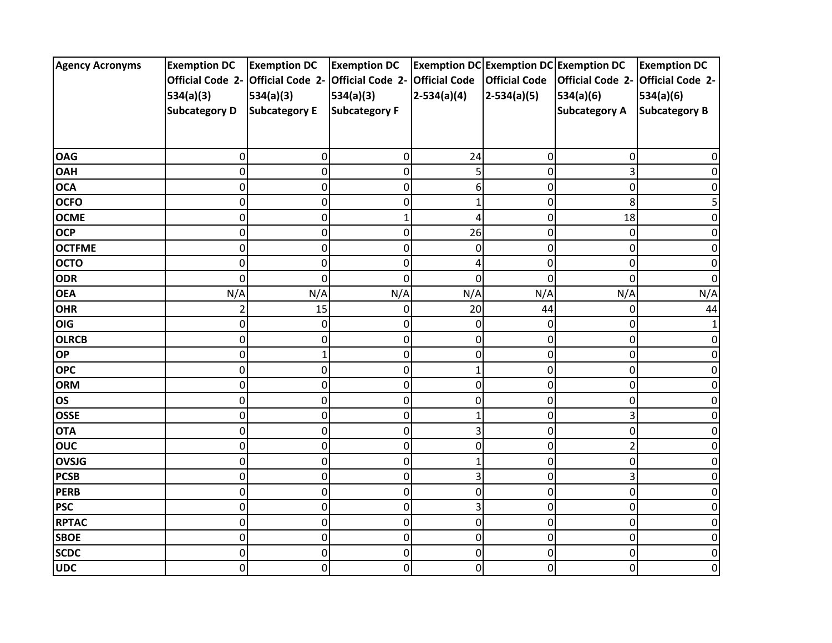| <b>Agency Acronyms</b> | <b>Exemption DC</b>  | <b>Exemption DC</b>               | <b>Exemption DC</b>            |               | <b>Exemption DC Exemption DC Exemption DC</b> |                         | <b>Exemption DC</b>     |
|------------------------|----------------------|-----------------------------------|--------------------------------|---------------|-----------------------------------------------|-------------------------|-------------------------|
|                        |                      | Official Code 2- Official Code 2- | Official Code 2- Official Code |               | <b>Official Code</b>                          | <b>Official Code 2-</b> | <b>Official Code 2-</b> |
|                        | 534(a)(3)            | 534(a)(3)                         | 534(a)(3)                      | $2-534(a)(4)$ | $2-534(a)(5)$                                 | 534(a)(6)               | 534(a)(6)               |
|                        | <b>Subcategory D</b> | <b>Subcategory E</b>              | <b>Subcategory F</b>           |               |                                               | <b>Subcategory A</b>    | <b>Subcategory B</b>    |
|                        |                      |                                   |                                |               |                                               |                         |                         |
|                        |                      |                                   |                                |               |                                               |                         |                         |
| <b>OAG</b>             | 0                    | $\pmb{0}$                         | 0                              | 24            | 0                                             | 0                       |                         |
| <b>OAH</b>             | 0                    | $\mathsf 0$                       | 0                              | 5             | 0                                             |                         |                         |
| <b>OCA</b>             | 0                    | $\pmb{0}$                         | 0                              | 6             | 0                                             | O                       |                         |
| <b>OCFO</b>            | 0                    | $\pmb{0}$                         | 0                              |               | 0                                             | 8                       |                         |
| <b>OCME</b>            | 0                    | $\pmb{0}$                         | 1                              | 4             | 0                                             | 18                      |                         |
| <b>OCP</b>             | 0                    | $\mathsf 0$                       | 0                              | 26            | 0                                             | $\mathbf 0$             | 0                       |
| <b>OCTFME</b>          | 0                    | $\pmb{0}$                         | 0                              | 0             | 0                                             | 0                       | U                       |
| <b>OCTO</b>            | 0                    | $\mathbf 0$                       | 0                              | Δ             | 0                                             | $\Omega$                |                         |
| <b>ODR</b>             | 0                    | $\pmb{0}$                         | 0                              | 0             | 0                                             | 0                       |                         |
| <b>OEA</b>             | N/A                  | N/A                               | N/A                            | N/A           | N/A                                           | N/A                     | N/A                     |
| <b>OHR</b>             | 2                    | 15                                | 0                              | 20            | 44                                            | 0                       | 44                      |
| OIG                    | 0                    | $\pmb{0}$                         | 0                              | 0             | 0                                             | 0                       |                         |
| <b>OLRCB</b>           | 0                    | $\pmb{0}$                         | 0                              | 0             | 0                                             | 0                       |                         |
| OP                     | 0                    | $\mathbf{1}$                      | 0                              | 0             | 0                                             | 0                       |                         |
| <b>OPC</b>             | 0                    | $\mathbf 0$                       | 0                              | 1             | 0                                             | 0                       |                         |
| <b>ORM</b>             | $\Omega$             | $\pmb{0}$                         | 0                              | 0             | 0                                             | 0                       | O                       |
| <b>OS</b>              | $\mathbf 0$          | $\mathsf{O}\xspace$               | 0                              | 0             | 0                                             | $\Omega$                | U                       |
| <b>OSSE</b>            | 0                    | $\mathbf 0$                       | 0                              |               | $\Omega$                                      |                         |                         |
| <b>OTA</b>             | 0                    | $\pmb{0}$                         | 0                              | 3             | 0                                             | 0                       |                         |
| ouc                    | 0                    | $\pmb{0}$                         | 0                              | 0             | 0                                             |                         |                         |
| <b>OVSJG</b>           | 0                    | $\pmb{0}$                         | 0                              |               | 0                                             | 0                       |                         |
| <b>PCSB</b>            | 0                    | $\pmb{0}$                         | 0                              | 3             | 0                                             | 3                       | O                       |
| <b>PERB</b>            | 0                    | $\mathsf 0$                       | 0                              | $\mathbf 0$   | 0                                             | 0                       |                         |
| <b>PSC</b>             | 0                    | $\pmb{0}$                         | 0                              | 3             | 0                                             | 0                       |                         |
| <b>RPTAC</b>           | 0                    | $\pmb{0}$                         | 0                              | 0             | 0                                             | $\mathbf 0$             |                         |
| <b>SBOE</b>            | 0                    | $\pmb{0}$                         | 0                              | 0             | 0                                             | 0                       | O                       |
| <b>SCDC</b>            | 0                    | $\mathsf 0$                       | 0                              | 0             | 0                                             | 0                       | 0                       |
| <b>UDC</b>             | 0                    | $\pmb{0}$                         | 0                              | 0             | 0                                             | 0                       | 0                       |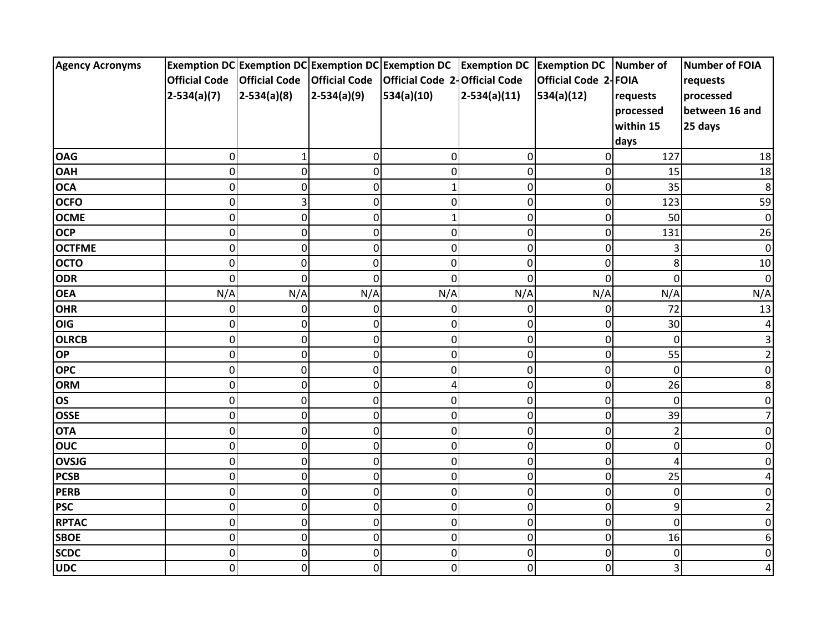| <b>Agency Acronyms</b> |                      |                      |               | Exemption DC Exemption DC Exemption DC Exemption DC Exemption DC Exemption DC Number of |                |                      |             | Number of FOIA |
|------------------------|----------------------|----------------------|---------------|-----------------------------------------------------------------------------------------|----------------|----------------------|-------------|----------------|
|                        | <b>Official Code</b> | <b>Official Code</b> |               | Official Code   Official Code 2-Official Code                                           |                | Official Code 2-FOIA |             | requests       |
|                        | $2-534(a)(7)$        | $2-534(a)(8)$        | $2-534(a)(9)$ | 534(a)(10)                                                                              | $2-534(a)(11)$ | 534(a)(12)           | requests    | processed      |
|                        |                      |                      |               |                                                                                         |                |                      | processed   | between 16 and |
|                        |                      |                      |               |                                                                                         |                |                      | within 15   | 25 days        |
|                        |                      |                      |               |                                                                                         |                |                      | days        |                |
| <b>OAG</b>             | 0                    | 1                    | 0             | 0                                                                                       | 0              | 0                    | 127         | 18             |
| <b>OAH</b>             | $\mathbf 0$          | $\overline{0}$       | 0             | 0                                                                                       | $\mathbf 0$    | 0                    | 15          | 18             |
| <b>OCA</b>             | $\mathbf 0$          | $\overline{0}$       | 0             | $\mathbf{1}$                                                                            | $\mathbf 0$    | 0                    | 35          | 8              |
| <b>OCFO</b>            | $\mathbf 0$          | $\overline{3}$       | 0             | 0                                                                                       | $\mathbf 0$    | 0                    | 123         | 59             |
| <b>OCME</b>            | $\mathbf 0$          | $\overline{0}$       | 0             | 1                                                                                       | 0              | 0                    | 50          | $\pmb{0}$      |
| <b>OCP</b>             | 0                    | $\overline{0}$       | 0             | 0                                                                                       | 0              | 0                    | 131         | 26             |
| <b>OCTFME</b>          | $\mathbf 0$          | $\overline{0}$       | 0             | 0                                                                                       | 0              | 0                    | 3           | $\overline{0}$ |
| <b>OCTO</b>            | 0                    | 0                    | $\mathbf 0$   | 0                                                                                       | 0              | 0                    | 8           | 10             |
| <b>ODR</b>             | 0                    | 0                    | 0             | 0                                                                                       | 0              | 0                    | 0           | 0              |
| <b>OEA</b>             | N/A                  | N/A                  | N/A           | N/A                                                                                     | N/A            | N/A                  | N/A         | N/A            |
| <b>OHR</b>             | 0                    | 0                    | 0             | 0                                                                                       | 0              | 0                    | 72          | 13             |
| OIG                    | $\mathbf 0$          | $\overline{0}$       | 0             | 0                                                                                       | $\mathbf 0$    | 0                    | 30          | 4              |
| <b>OLRCB</b>           | $\mathbf 0$          | $\overline{0}$       | 0             | 0                                                                                       | $\mathbf 0$    | 0                    | $\Omega$    | 3              |
| <b>OP</b>              | $\pmb{0}$            | $\overline{0}$       | 0             | 0                                                                                       | $\pmb{0}$      | 0                    | 55          |                |
| <b>OPC</b>             | $\mathbf 0$          | 0                    | $\pmb{0}$     | $\mathbf 0$                                                                             | 0              | $\pmb{0}$            | $\mathbf 0$ |                |
| <b>ORM</b>             | 0                    | $\overline{0}$       | 0             | 4                                                                                       | 0              | 0                    | 26          | 8              |
| <b>OS</b>              | $\mathbf 0$          | $\overline{0}$       | $\pmb{0}$     | 0                                                                                       | 0              | $\pmb{0}$            | $\Omega$    | n              |
| <b>OSSE</b>            | $\mathbf 0$          | $\overline{0}$       | 0             | 0                                                                                       | $\mathbf 0$    | 0                    | 39          |                |
| <b>OTA</b>             | 0                    | $\overline{0}$       | 0             | 0                                                                                       | 0              | 0                    | 2           |                |
| <b>OUC</b>             | $\mathbf 0$          | $\overline{0}$       | 0             | 0                                                                                       | 0              | 0                    | 0           |                |
| <b>OVSJG</b>           | 0                    | $\overline{0}$       | 0             | 0                                                                                       | 0              | 0                    | 4           |                |
| <b>PCSB</b>            | $\mathbf 0$          | $\overline{0}$       | 0             | 0                                                                                       | $\mathbf 0$    | 0                    | 25          |                |
| <b>PERB</b>            | $\mathbf 0$          | $\overline{0}$       | 0             | 0                                                                                       | $\mathbf 0$    | 0                    | 0           |                |
| <b>PSC</b>             | $\pmb{0}$            | $\overline{0}$       | 0             | 0                                                                                       | $\mathbf 0$    | 0                    | 9           |                |
| <b>RPTAC</b>           | $\pmb{0}$            | $\overline{0}$       | 0             | 0                                                                                       | $\pmb{0}$      | $\pmb{0}$            | 0           |                |
| <b>SBOE</b>            | 0                    | $\overline{0}$       | 0             | 0                                                                                       | 0              | $\pmb{0}$            | 16          |                |
| <b>SCDC</b>            | $\mathbf 0$          | $\overline{0}$       | 0             | 0                                                                                       | $\pmb{0}$      | 0                    | 0           | 0              |
| <b>UDC</b>             | 0                    | $\mathbf 0$          | 0             | 0                                                                                       | $\pmb{0}$      | 0                    | 3           |                |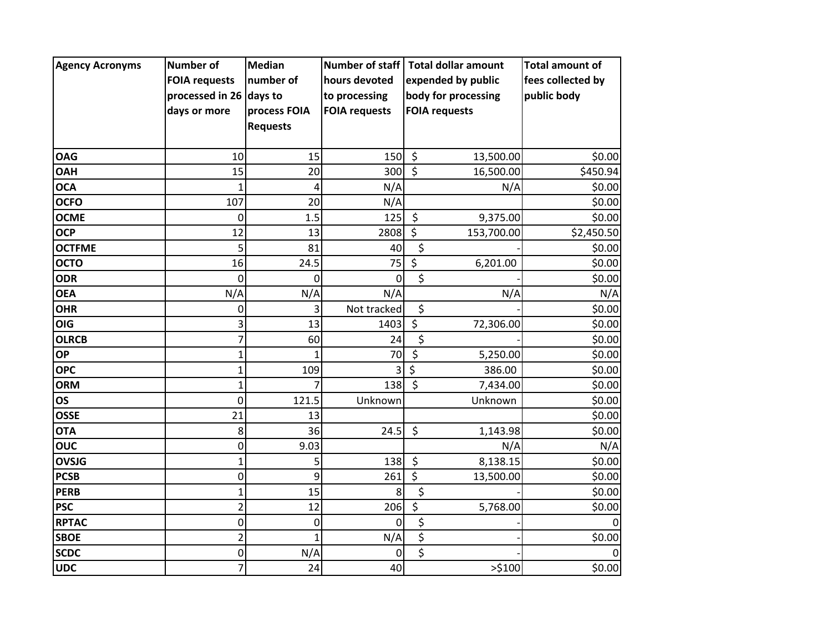| <b>Agency Acronyms</b> | <b>Number of</b>        | <b>Median</b>   |                      | Number of staff   Total dollar amount | <b>Total amount of</b> |
|------------------------|-------------------------|-----------------|----------------------|---------------------------------------|------------------------|
|                        | <b>FOIA requests</b>    | number of       | hours devoted        | expended by public                    | fees collected by      |
|                        | processed in 26 days to |                 | to processing        | body for processing                   | public body            |
|                        | days or more            | process FOIA    | <b>FOIA requests</b> | <b>FOIA requests</b>                  |                        |
|                        |                         | <b>Requests</b> |                      |                                       |                        |
|                        |                         |                 |                      |                                       |                        |
| <b>OAG</b>             | 10                      | 15              | 150                  | $\zeta$<br>13,500.00                  | \$0.00                 |
| <b>OAH</b>             | 15                      | 20              | 300                  | $\zeta$<br>16,500.00                  | \$450.94               |
| <b>OCA</b>             | $\mathbf{1}$            | 4               | N/A                  | N/A                                   | \$0.00                 |
| <b>OCFO</b>            | 107                     | 20              | N/A                  |                                       | \$0.00                 |
| <b>OCME</b>            | 0                       | 1.5             | 125                  | $\zeta$<br>9,375.00                   | \$0.00                 |
| <b>OCP</b>             | 12                      | 13              | 2808                 | $\zeta$<br>153,700.00                 | \$2,450.50             |
| <b>OCTFME</b>          | 5                       | 81              | 40                   | \$                                    | \$0.00                 |
| <b>OCTO</b>            | 16                      | 24.5            | 75                   | $\overline{\xi}$<br>6,201.00          | \$0.00                 |
| <b>ODR</b>             | 0                       | 0               | 0                    | \$                                    | \$0.00                 |
| <b>OEA</b>             | N/A                     | N/A             | N/A                  | N/A                                   | N/A                    |
| <b>OHR</b>             | 0                       | 3               | Not tracked          | \$                                    | \$0.00                 |
| <b>OIG</b>             | 3                       | 13              | 1403                 | $\boldsymbol{\zeta}$<br>72,306.00     | \$0.00                 |
| <b>OLRCB</b>           | $\overline{7}$          | 60              | 24                   | \$                                    | \$0.00                 |
| <b>OP</b>              | $\mathbf{1}$            |                 | 70                   | $\zeta$<br>5,250.00                   | \$0.00                 |
| <b>OPC</b>             | $\mathbf{1}$            | 109             | 3                    | $\overline{\mathsf{S}}$<br>386.00     | \$0.00                 |
| <b>ORM</b>             | $\mathbf{1}$            |                 | 138                  | $\zeta$<br>7,434.00                   | \$0.00                 |
| <b>OS</b>              | 0                       | 121.5           | Unknown              | Unknown                               | \$0.00                 |
| <b>OSSE</b>            | 21                      | 13              |                      |                                       | \$0.00                 |
| <b>OTA</b>             | 8                       | 36              | 24.5                 | \$<br>1,143.98                        | \$0.00                 |
| <b>OUC</b>             | 0                       | 9.03            |                      | N/A                                   | N/A                    |
| <b>OVSJG</b>           | $\mathbf{1}$            | 5               | 138                  | $\zeta$<br>8,138.15                   | \$0.00                 |
| <b>PCSB</b>            | $\pmb{0}$               | 9               | 261                  | \$<br>13,500.00                       | \$0.00                 |
| <b>PERB</b>            | $\mathbf{1}$            | 15              | 8                    | \$                                    | \$0.00                 |
| <b>PSC</b>             | $\overline{2}$          | 12              | 206                  | $\overline{\xi}$<br>5,768.00          | \$0.00                 |
| <b>RPTAC</b>           | $\boldsymbol{0}$        | 0               | $\Omega$             | \$                                    | $\mathbf 0$            |
| <b>SBOE</b>            | $\overline{2}$          | $\overline{1}$  | N/A                  | $\overline{\boldsymbol{\zeta}}$       | \$0.00                 |
| <b>SCDC</b>            | 0                       | N/A             | 0                    | \$                                    | $\mathbf 0$            |
| <b>UDC</b>             | 7                       | 24              | 40                   | >5100                                 | \$0.00                 |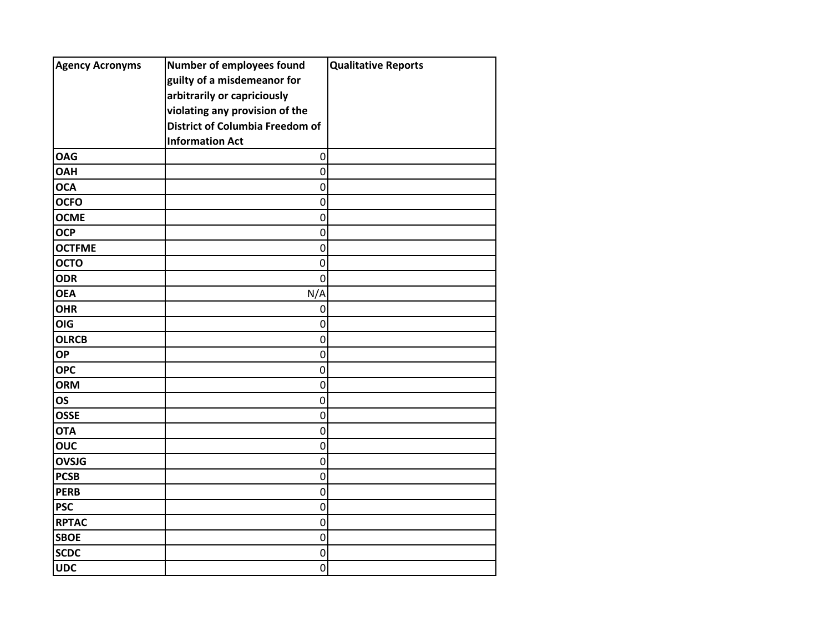| <b>Agency Acronyms</b> | Number of employees found              | <b>Qualitative Reports</b> |
|------------------------|----------------------------------------|----------------------------|
|                        | guilty of a misdemeanor for            |                            |
|                        | arbitrarily or capriciously            |                            |
|                        | violating any provision of the         |                            |
|                        | <b>District of Columbia Freedom of</b> |                            |
|                        | <b>Information Act</b>                 |                            |
| <b>OAG</b>             | $\mathbf 0$                            |                            |
| <b>OAH</b>             | $\mathbf 0$                            |                            |
| <b>OCA</b>             | $\mathbf 0$                            |                            |
| <b>OCFO</b>            | $\mathbf 0$                            |                            |
| <b>OCME</b>            | $\mathbf 0$                            |                            |
| <b>OCP</b>             | $\mathbf 0$                            |                            |
| <b>OCTFME</b>          | $\mathbf 0$                            |                            |
| <b>OCTO</b>            | $\mathbf 0$                            |                            |
| <b>ODR</b>             | $\mathbf 0$                            |                            |
| <b>OEA</b>             | N/A                                    |                            |
| <b>OHR</b>             | $\mathbf 0$                            |                            |
| OIG                    | 0                                      |                            |
| <b>OLRCB</b>           | $\mathbf 0$                            |                            |
| <b>OP</b>              | $\mathbf 0$                            |                            |
| <b>OPC</b>             | $\pmb{0}$                              |                            |
| <b>ORM</b>             | $\mathbf 0$                            |                            |
| <b>OS</b>              | $\mathbf 0$                            |                            |
| <b>OSSE</b>            | $\mathbf 0$                            |                            |
| <b>OTA</b>             | $\mathbf 0$                            |                            |
| <b>OUC</b>             | $\pmb{0}$                              |                            |
| <b>OVSJG</b>           | $\mathbf 0$                            |                            |
| <b>PCSB</b>            | $\pmb{0}$                              |                            |
| <b>PERB</b>            | $\mathbf 0$                            |                            |
| <b>PSC</b>             | $\mathbf 0$                            |                            |
| <b>RPTAC</b>           | $\mathbf 0$                            |                            |
| <b>SBOE</b>            | $\mathbf 0$                            |                            |
| <b>SCDC</b>            | $\pmb{0}$                              |                            |
| <b>UDC</b>             | 0                                      |                            |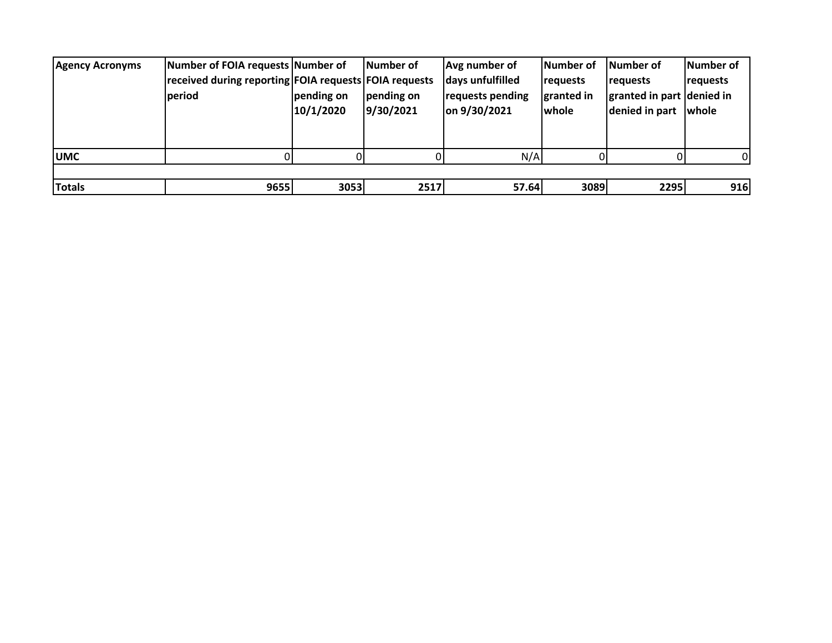| <b>Agency Acronyms</b> | Number of FOIA requests Number of                     |            | lNumber of | Avg number of    | Number of       | Number of                 | Number of |
|------------------------|-------------------------------------------------------|------------|------------|------------------|-----------------|---------------------------|-----------|
|                        | received during reporting FOIA requests FOIA requests |            |            | days unfulfilled | <b>requests</b> | requests                  | requests  |
|                        | period                                                | pending on | pending on | requests pending | granted in      | granted in part denied in |           |
|                        |                                                       | 10/1/2020  | 9/30/2021  | on 9/30/2021     | whole           | denied in part            | whole     |
|                        |                                                       |            |            |                  |                 |                           |           |
|                        |                                                       |            |            |                  |                 |                           |           |
| <b>UMC</b>             |                                                       |            |            | N/A              |                 |                           | 01        |
|                        |                                                       |            |            |                  |                 |                           |           |
| <b>Totals</b>          | 9655                                                  | 3053       | 2517       | 57.64            | 3089            | 2295                      | 916       |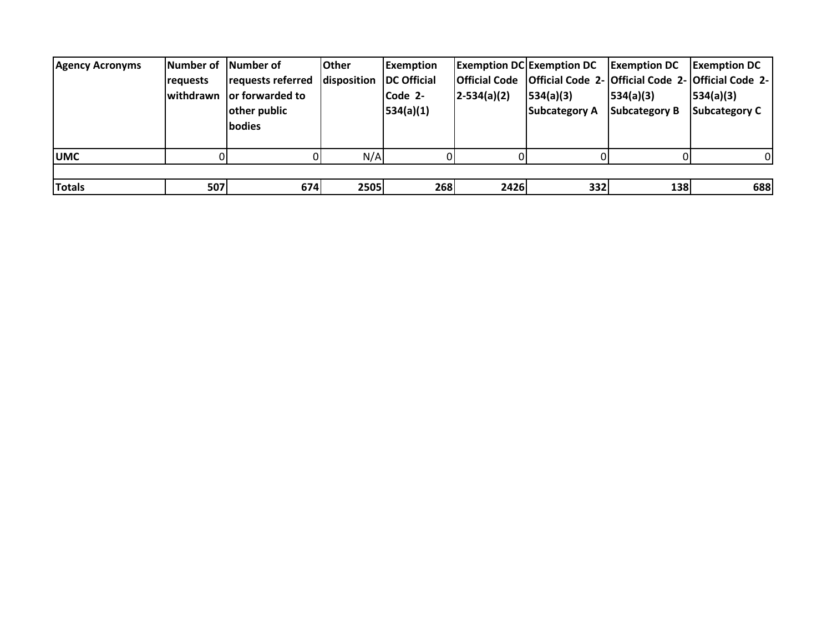| <b>Agency Acronyms</b> | lNumber of   lNumber of<br><b>requests</b> | requests referred<br>lwithdrawn lor forwarded to<br>other public<br>bodies | <b>Other</b><br>disposition   DC Official | <b>Exemption</b><br>Code 2-<br>534(a)(1) | $2-534(a)(2)$ | <b>Exemption DC Exemption DC</b> Exemption DC<br> 534(a)(3) <br>Subcategory A Subcategory B | 534(a)(3) | <b>Exemption DC</b><br>Official Code   Official Code 2- Official Code 2- Official Code 2-  <br>534(a)(3)<br><b>Subcategory C</b> |
|------------------------|--------------------------------------------|----------------------------------------------------------------------------|-------------------------------------------|------------------------------------------|---------------|---------------------------------------------------------------------------------------------|-----------|----------------------------------------------------------------------------------------------------------------------------------|
| <b>UMC</b>             |                                            |                                                                            | N/A                                       |                                          |               |                                                                                             |           | ΩI                                                                                                                               |
| <b>Totals</b>          | 507                                        | 674                                                                        | 2505                                      | 268                                      | 2426          | 332                                                                                         | 138       | 688                                                                                                                              |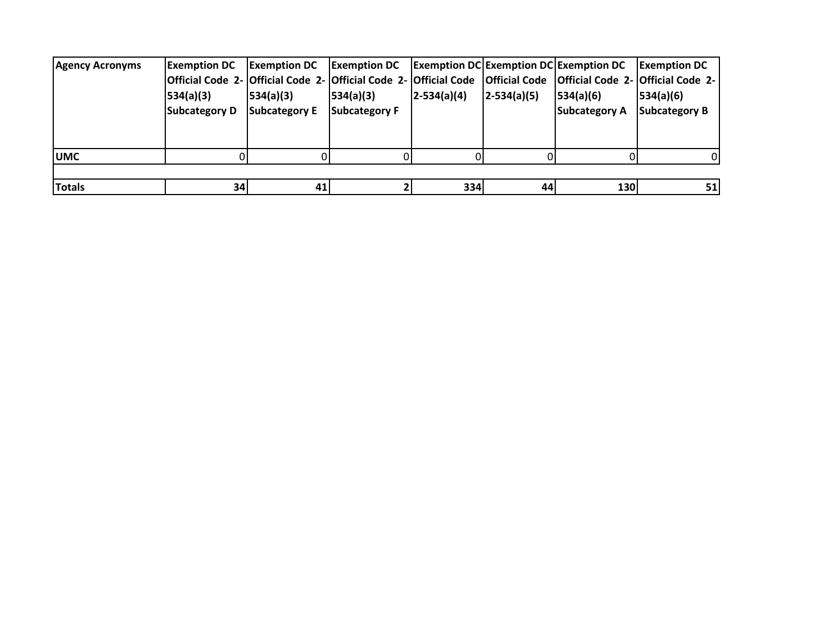| <b>Agency Acronyms</b> | <b>Exemption DC</b>  | <b>IExemption DC</b>                                                                                                   | <b>Exemption DC</b> Exemption DC Exemption DC Exemption DC |                 |                 |                      | <b>I</b> Exemption DC |
|------------------------|----------------------|------------------------------------------------------------------------------------------------------------------------|------------------------------------------------------------|-----------------|-----------------|----------------------|-----------------------|
|                        |                      | Official Code 2-  Official Code 2-  Official Code 2-  Official Code  Official Code  Official Code 2-  Official Code 2- |                                                            |                 |                 |                      |                       |
|                        | 534(a)(3)            | 534(a)(3)                                                                                                              | 534(a)(3)                                                  | $ 2-534(a)(4) $ | $ 2-534(a)(5) $ | 534(a)(6)            | 534(a)(6)             |
|                        | <b>Subcategory D</b> | <b>Subcategory E</b>                                                                                                   | <b>Subcategory F</b>                                       |                 |                 | <b>Subcategory A</b> | Subcategory B         |
|                        |                      |                                                                                                                        |                                                            |                 |                 |                      |                       |
|                        |                      |                                                                                                                        |                                                            |                 |                 |                      |                       |
| <b>UMC</b>             |                      |                                                                                                                        |                                                            |                 |                 |                      |                       |
|                        |                      |                                                                                                                        |                                                            |                 |                 |                      |                       |
| <b>Totals</b>          | 34                   | 41                                                                                                                     |                                                            | 334             | 44              | <b>130</b>           | 51                    |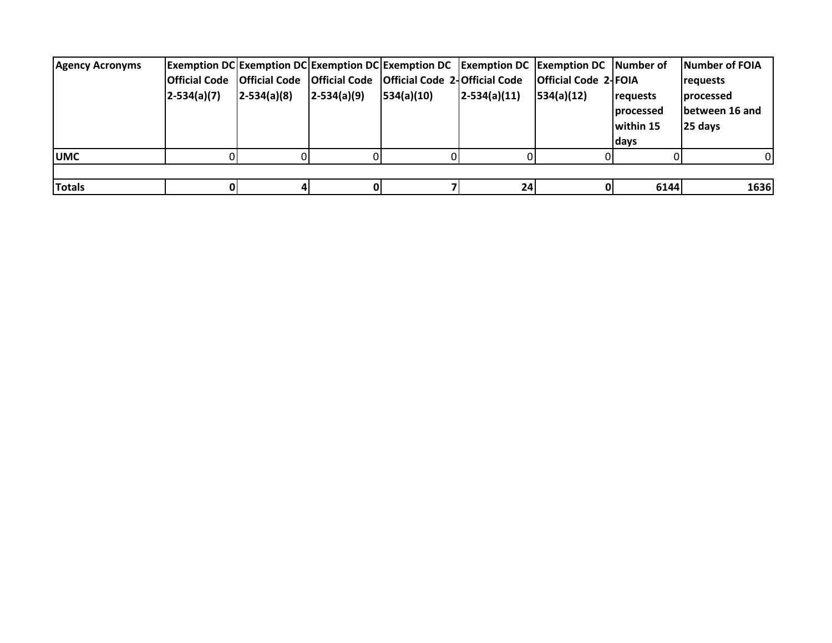| <b>Agency Acronyms</b> | $2-534(a)(7)$ | $ 2-534(a)(8) $ | $ 2 - 534(a)(9) $ | <b>Exemption DC Exemption DC Exemption DC Exemption DC Exemption DC Exemption DC Number of</b><br>Official Code   Official Code   Official Code   Official Code 2- Official Code<br> 534(a)(10) | $ 2-534(a)(11) $ | <b>Official Code 2-FOIA</b><br> 534(a)(12) | <b>requests</b><br><b>processed</b><br>within 15<br>days | Number of FOIA<br><b>requests</b><br><b>processed</b><br>Ibetween 16 and<br>25 days |
|------------------------|---------------|-----------------|-------------------|-------------------------------------------------------------------------------------------------------------------------------------------------------------------------------------------------|------------------|--------------------------------------------|----------------------------------------------------------|-------------------------------------------------------------------------------------|
| <b>UMC</b>             |               |                 |                   |                                                                                                                                                                                                 |                  |                                            |                                                          |                                                                                     |
| <b>Totals</b>          |               |                 |                   |                                                                                                                                                                                                 | 24               |                                            | 6144                                                     | 1636                                                                                |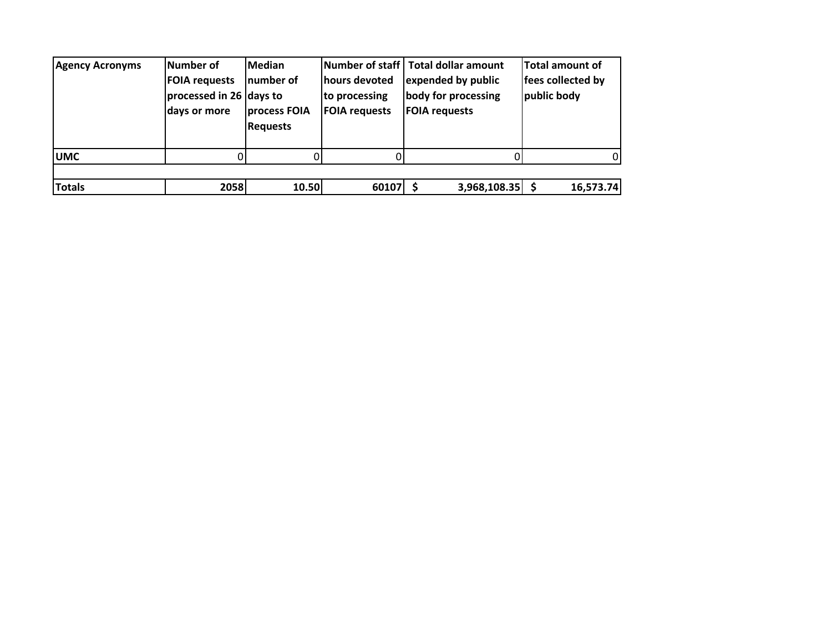| <b>Agency Acronyms</b> | Number of<br><b>FOIA requests</b><br>processed in 26 days to<br>days or more | <b>Median</b><br>Inumber of<br>process FOIA<br><b>Requests</b> | hours devoted<br>to processing<br><b>FOIA requests</b> | Number of staff Total dollar amount<br>expended by public<br>body for processing<br><b>FOIA requests</b> | <b>Total amount of</b><br>fees collected by<br>public body |
|------------------------|------------------------------------------------------------------------------|----------------------------------------------------------------|--------------------------------------------------------|----------------------------------------------------------------------------------------------------------|------------------------------------------------------------|
| <b>UMC</b>             |                                                                              |                                                                |                                                        |                                                                                                          | $\Omega$                                                   |
| <b>Totals</b>          | 2058                                                                         | 10.50                                                          | $60107$ \$                                             | 3,968,108.35                                                                                             | 16,573.74                                                  |